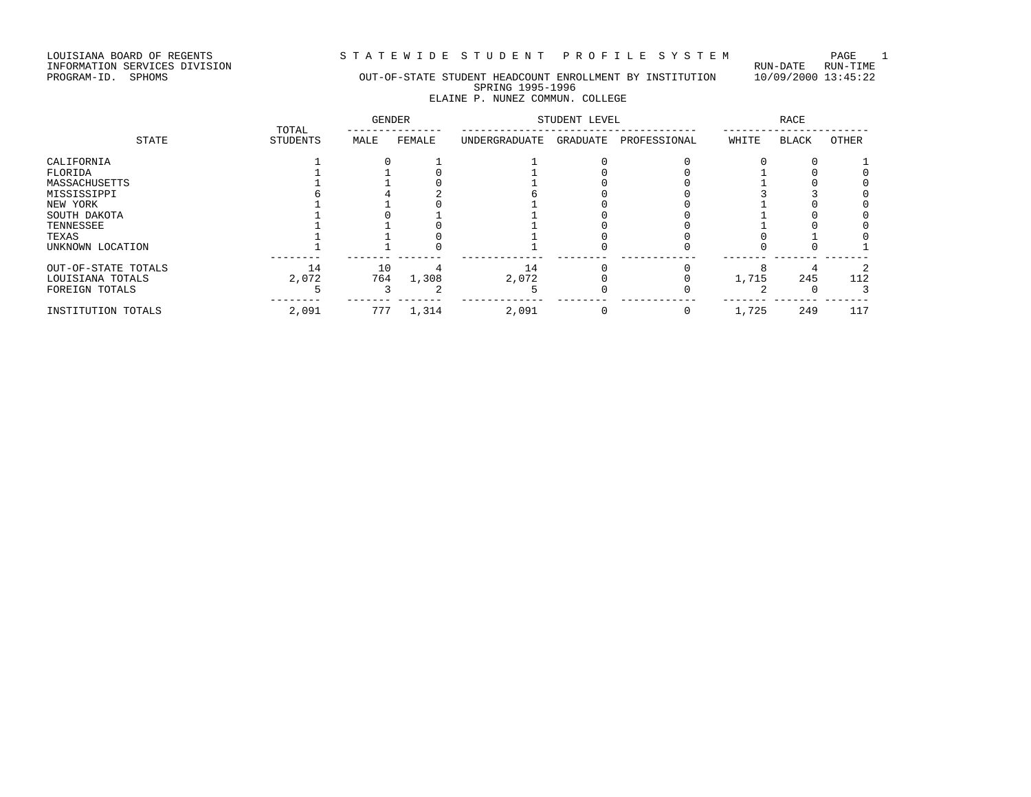LOUISIANA BOARD OF REGENTS<br>INFORMATION SERVICES DIVISION<br>PROGRAM-ID. SPHOMS

# STATEWIDE STUDENT PROFILE SYSTEM PAGE 1<br>RUN-DATE RUN-TIME

# OUT-OF-STATE STUDENT HEADCOUNT ENROLLMENT BY INSTITUTION 10/09/2000 13:45:22 SPRING 1995-1996 ELAINE P. NUNEZ COMMUN. COLLEGE

| STATE               | TOTAL           | <b>GENDER</b> |        | STUDENT LEVEL |          | RACE         |       |              |       |
|---------------------|-----------------|---------------|--------|---------------|----------|--------------|-------|--------------|-------|
|                     | <b>STUDENTS</b> | MALE          | FEMALE | UNDERGRADUATE | GRADUATE | PROFESSIONAL | WHITE | <b>BLACK</b> | OTHER |
| CALIFORNIA          |                 |               |        |               |          |              |       |              |       |
| FLORIDA             |                 |               |        |               |          |              |       |              |       |
| MASSACHUSETTS       |                 |               |        |               |          |              |       |              |       |
| MISSISSIPPI         |                 |               |        |               |          |              |       |              |       |
| NEW YORK            |                 |               |        |               |          |              |       |              |       |
| SOUTH DAKOTA        |                 |               |        |               |          |              |       |              |       |
| TENNESSEE           |                 |               |        |               |          |              |       |              |       |
| TEXAS               |                 |               |        |               |          |              |       |              |       |
| UNKNOWN LOCATION    |                 |               |        |               |          |              |       |              |       |
| OUT-OF-STATE TOTALS | 14              | 10            |        | 14            |          |              |       |              |       |
| LOUISIANA TOTALS    | 2,072           | 764           | 1,308  | 2,072         |          |              | 1,715 | 245          | 112   |
| FOREIGN TOTALS      |                 |               |        |               |          |              |       |              |       |
| INSTITUTION TOTALS  | 2,091           | 777           | 1,314  | 2,091         |          |              | 1,725 | 249          | 117   |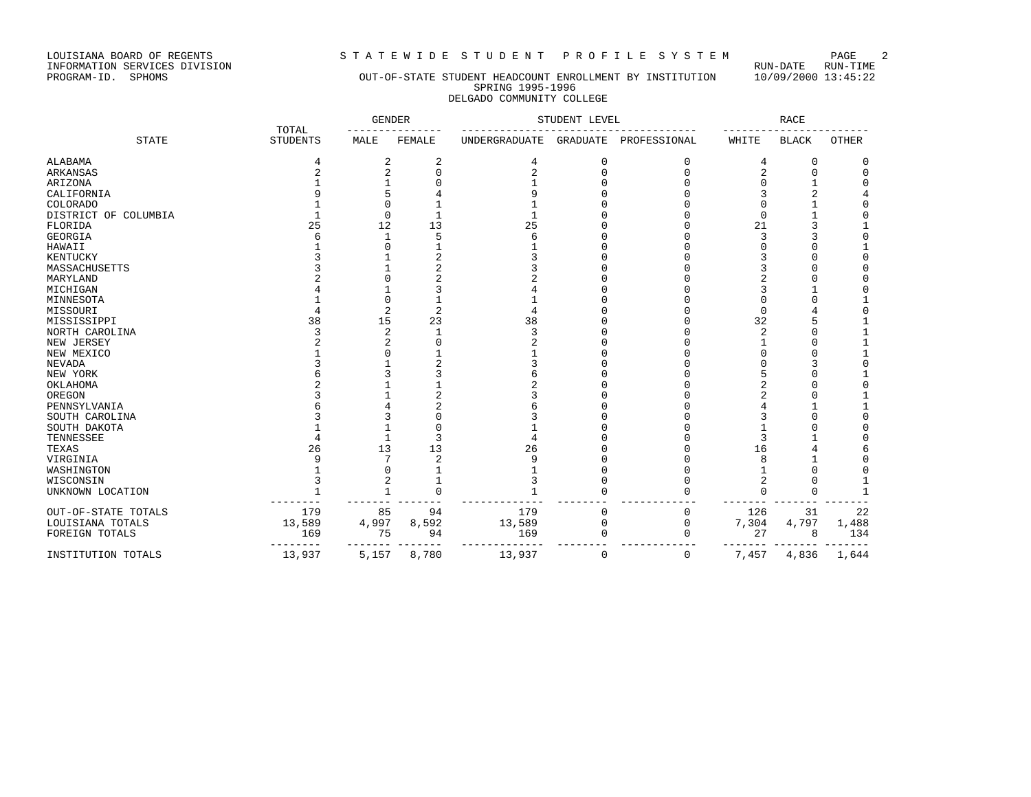LOUISIANA BOARD OF REGENTS STA TEWIDE STUDENT PROFILE SYSTEM PAGE 2<br>INFORMATION SERVICES DIVISION INFORMATION SERVICES DIVISION<br>PROGRAM-ID. SPHOMS

# OUT-OF-STATE STUDENT HEADCOUNT ENROLLMENT BY INSTITUTION 10/09/2000 13:45:22 SPRING 1995-1996 DELGADO COMMUNITY COLLEGE

|                         | TOTAL           | <b>GENDER</b>  |        | STUDENT LEVEL  |                 | <b>RACE</b>  |        |              |              |
|-------------------------|-----------------|----------------|--------|----------------|-----------------|--------------|--------|--------------|--------------|
| <b>STATE</b>            | <b>STUDENTS</b> | MALE           | FEMALE | UNDERGRADUATE  | <b>GRADUATE</b> | PROFESSIONAL | WHITE  | <b>BLACK</b> | <b>OTHER</b> |
| ALABAMA                 | 4               | 2              | 2      | 4              |                 |              | 4      | $\Omega$     | 0            |
| <b>ARKANSAS</b>         |                 | $\overline{2}$ |        | $\overline{2}$ |                 | $\cap$       | 2      |              | $\Omega$     |
| ARIZONA                 |                 |                |        |                |                 |              |        |              | U            |
| CALIFORNIA              |                 |                |        | 9              |                 |              |        |              |              |
| <b>COLORADO</b>         |                 |                |        |                |                 |              |        |              |              |
| DISTRICT OF<br>COLUMBIA |                 | $\Omega$       |        |                |                 |              | O      |              | O            |
| FLORIDA                 | 25              | 12             | 13     | 25             |                 |              | 21     |              |              |
| <b>GEORGIA</b>          |                 |                | 5      | 6              |                 |              |        |              | 0            |
| HAWAII                  |                 |                |        |                |                 |              |        |              |              |
| KENTUCKY                |                 |                |        |                |                 |              |        |              | U            |
| MASSACHUSETTS           |                 |                |        |                |                 |              |        |              |              |
| MARYLAND                |                 |                |        |                |                 |              |        |              |              |
| MICHIGAN                |                 |                |        |                |                 |              |        |              |              |
| MINNESOTA               |                 |                |        |                |                 |              |        |              |              |
| MISSOURI                |                 |                |        | 4              |                 |              |        |              |              |
| MISSISSIPPI             | 38              | 15             | 23     | 38             |                 |              | 32     |              |              |
| NORTH CAROLINA          |                 | 2              |        | 3              |                 |              |        |              |              |
| NEW JERSEY              |                 |                |        | $\overline{2}$ |                 |              |        |              |              |
| NEW MEXICO              |                 |                |        |                |                 |              |        |              |              |
| <b>NEVADA</b>           |                 |                |        |                |                 |              |        |              | U            |
| NEW YORK                |                 |                |        |                |                 |              |        |              |              |
| OKLAHOMA                |                 |                |        |                |                 |              |        |              | O            |
| OREGON                  |                 |                |        |                |                 |              |        |              |              |
| PENNSYLVANIA            |                 |                |        |                |                 |              |        |              |              |
| SOUTH CAROLINA          |                 |                |        |                |                 |              |        |              | U            |
| SOUTH DAKOTA            |                 |                |        |                |                 |              |        |              | U            |
| TENNESSEE               |                 |                |        |                |                 |              |        |              |              |
| TEXAS                   | 26              | 13             | 13     | 26             |                 |              | 16     |              |              |
| VIRGINIA                |                 |                | 2      | 9              |                 |              |        |              |              |
| WASHINGTON              |                 |                |        |                |                 |              |        |              |              |
| WISCONSIN               |                 | 2              |        | 3              |                 |              | 2      |              |              |
| UNKNOWN LOCATION        |                 | $\overline{1}$ | $\cap$ |                |                 |              | $\cap$ | $\Omega$     |              |
| OUT-OF-STATE TOTALS     | 179             | 85             | 94     | 179            | n               | $\Omega$     | 126    | 31           | 22           |
| LOUISIANA TOTALS        | 13,589          | 4,997          | 8,592  | 13,589         |                 | 0            | 7,304  | 4,797        | 1,488        |
| FOREIGN TOTALS          | 169             | 75             | 94     | 169            |                 |              | 27     | 8            | 134          |
| INSTITUTION TOTALS      | 13,937          | 5,157          | 8,780  | 13,937         | 0               | 0            | 7,457  | 4,836        | 1,644        |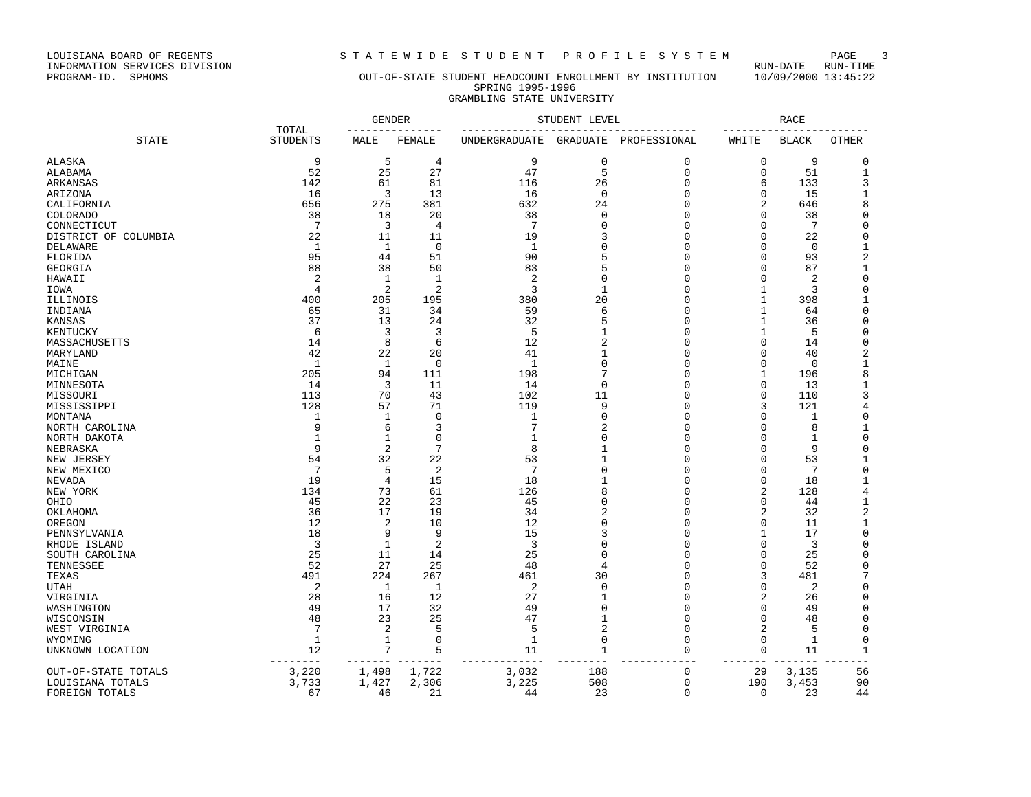LOUISIANA BOARD OF REGENTS<br>INFORMATION SERVICES DIVISION<br>PROGRAM-ID. SPHOMS

# STATEWIDE STUDENT PROFILE SYSTEM PAGE 3<br>RUN-DATE RUN-TIME

# OUT-OF-STATE STUDENT HEADCOUNT ENROLLMENT BY INSTITUTION 10/09/2000 13:45:22 SPRING 1995-1996 GRAMBLING STATE UNIVERSITY

|                           |                          | <b>GENDER</b>      |                |                    | STUDENT LEVEL              |               |                      | <b>RACE</b>  |                   |
|---------------------------|--------------------------|--------------------|----------------|--------------------|----------------------------|---------------|----------------------|--------------|-------------------|
| <b>STATE</b>              | TOTAL<br><b>STUDENTS</b> | MALE               | FEMALE         | UNDERGRADUATE      | GRADUATE                   | PROFESSIONAL  | WHITE                | <b>BLACK</b> | <b>OTHER</b>      |
| ALASKA                    | 9                        | 5                  | 4              | 9                  | $\mathbf 0$                | 0             | $\mathbf 0$          | 9            | $\Omega$          |
| ALABAMA                   | 52                       | 25                 | 27             | 47                 | 5                          | $\mathbf 0$   | $\mathbf 0$          | 51           | $\mathbf 1$       |
| ARKANSAS                  | 142                      | 61                 | 81             | 116                | 26                         | 0             | 6                    | 133          | 3                 |
| ARIZONA                   | 16                       | 3                  | 13             | 16                 | $\Omega$                   | 0             | 0                    | 15           | 1                 |
| CALIFORNIA                | 656                      | 275                | 381            | 632                | 24                         | 0             | 2                    | 646          | 8                 |
| <b>COLORADO</b>           | 38                       | 18                 | 20             | 38                 | 0                          | 0             | 0                    | 38           | $\mathbf 0$       |
| CONNECTICUT               | 7                        | 3                  | $\overline{4}$ | 7                  | $\Omega$                   | 0             | 0                    | 7            | $\overline{0}$    |
| DISTRICT OF COLUMBIA      | 22                       | 11                 | 11             | 19                 |                            | 0             | 0                    | 22           | $\Omega$          |
| DELAWARE                  | 1                        | $\mathbf{1}$       | $\mathbf 0$    | $\mathbf{1}$       | $\Omega$                   | 0             | 0                    | $\mathbf 0$  | $\mathbf{1}$      |
| FLORIDA                   | 95                       | 44                 | 51             | 90                 | 5                          | 0             | 0                    | 93           | $\overline{c}$    |
| GEORGIA                   | 88                       | 38                 | 50             | 83                 | 5                          | 0             | $\Omega$             | 87           | $\mathbf{1}$      |
| HAWAII                    | $\overline{2}$           | 1                  | 1              | 2                  | $\Omega$                   | 0             | 0                    | 2            | $\mathsf 0$       |
| IOWA                      | 4                        | $\overline{2}$     | $\overline{2}$ | 3                  | 1                          | 0             | 1                    | 3            | $\Omega$          |
| ILLINOIS                  | 400                      | 205                | 195            | 380                | 20                         | 0             | 1                    | 398          | $\mathbf{1}$      |
| INDIANA                   | 65                       | 31                 | 34             | 59                 | 6                          | 0             | 1                    | 64           | $\mathsf 0$       |
|                           | 37                       | 13                 | 24             | 32                 | 5                          | 0             |                      | 36           | $\mathbf 0$       |
| KANSAS                    | 6                        | 3                  | 3              | 5                  | 1                          | 0             | 1<br>1               | 5            | 0                 |
| KENTUCKY<br>MASSACHUSETTS | 14                       | 8                  | 6              | 12                 | 2                          | 0             | 0                    | 14           | $\mathbf 0$       |
|                           |                          |                    |                |                    |                            | 0             | 0                    |              |                   |
| MARYLAND                  | 42<br>1                  | 22                 | 20             | 41<br>$\mathbf{1}$ | $\Omega$                   |               |                      | 40           | 2<br>$\mathbf{1}$ |
| MAINE                     | 205                      | $\mathbf{1}$       | 0              |                    | 7                          | 0             | 0                    | 0            | 8                 |
| MICHIGAN                  |                          | 94                 | 111            | 198                |                            | 0             | 1                    | 196          |                   |
| MINNESOTA                 | 14                       | 3                  | 11             | 14                 | 0                          | 0             | 0                    | 13           | 1                 |
| MISSOURI                  | 113                      | 70                 | 43             | 102                | 11                         | 0             | 0                    | 110          | 3                 |
| MISSISSIPPI               | 128                      | 57                 | 71             | 119                | 9<br>$\Omega$              | 0<br>$\Omega$ | 3<br>$\Omega$        | 121          | 4                 |
| MONTANA                   | 1<br>9                   | 1                  | $\mathbf 0$    | 1<br>7             |                            |               |                      | 1            | $\mathsf 0$       |
| NORTH CAROLINA            |                          | 6                  | 3              |                    | $\overline{c}$<br>$\Omega$ | 0             | $\Omega$             | 8            | $\mathbf{1}$      |
| NORTH DAKOTA              | $\mathbf{1}$             | $\mathbf{1}$       | $\Omega$       | $\mathbf{1}$       |                            | $\Omega$      | $\Omega$             | 1            | $\Omega$          |
| NEBRASKA                  | 9                        | $\overline{2}$     | $\overline{7}$ | 8                  |                            | 0             | 0                    | 9            | $\Omega$          |
| NEW JERSEY                | 54                       | 32                 | 22             | 53<br>7            | $\Omega$                   | 0             | $\Omega$             | 53           | $\mathbf{1}$      |
| NEW MEXICO                | 7                        | 5                  | $\overline{2}$ |                    |                            | 0             | $\Omega$             | 7            | $\Omega$          |
| NEVADA                    | 19                       | $\overline{4}$     | 15             | 18                 | 1                          | 0             | 0                    | 18           | $\mathbf{1}$      |
| NEW YORK                  | 134                      | 73                 | 61             | 126                | 8                          | 0             | 2                    | 128          | $\overline{4}$    |
| OHIO                      | 45                       | 22                 | 23             | 45                 | $\Omega$                   | 0             | $\mathbf 0$          | 44           | $\mathbf{1}$      |
| OKLAHOMA                  | 36                       | 17                 | 19             | 34                 | $\overline{c}$             | 0             | 2                    | 32           | $\sqrt{2}$        |
| OREGON                    | 12                       | $\overline{2}$     | 10             | 12                 | $\Omega$                   | 0             | 0                    | 11           | 1                 |
| PENNSYLVANIA              | 18                       | 9                  | 9              | 15                 | 3                          | $\Omega$      | 1                    | 17           | $\mathsf 0$       |
| RHODE ISLAND              | 3                        | $\mathbf{1}$       | $\overline{2}$ | 3                  | $\Omega$                   | 0             | 0                    | 3            | $\mathbf 0$       |
| SOUTH CAROLINA            | 25                       | 11                 | 14             | 25                 | $\Omega$                   | 0             | 0                    | 25           | $\Omega$          |
| TENNESSEE                 | 52                       | 27                 | 25             | 48                 |                            | 0             | 0                    | 52           | $\mathbf 0$       |
| TEXAS                     | 491                      | 224                | 267            | 461                | 30                         | 0             | 3                    | 481          | 7                 |
| UTAH                      | 2                        | 1                  | 1              | 2                  | $\Omega$                   | 0             | 0                    | 2            | 0                 |
| VIRGINIA                  | 28                       | 16                 | 12             | 27                 | $\mathbf{1}$               | 0             | 2                    | 26           | 0                 |
| WASHINGTON                | 49                       | 17                 | 32             | 49                 | $\Omega$                   | 0             | 0                    | 49           | $\mathbf 0$       |
| WISCONSIN                 | 48                       | 23                 | 25             | 47                 | $\mathbf{1}$               | 0             | 0                    | 48           | 0                 |
| WEST VIRGINIA             | $7\phantom{.0}$          | $\overline{c}$     | 5              | 5                  | $\overline{2}$             | 0             | 2                    | 5            | 0                 |
| WYOMING                   | 1                        | 1                  | 0              | 1                  | $\Omega$                   | 0             | 0                    | 1            | 0                 |
| UNKNOWN LOCATION          | 12                       | 7<br>$- - - - - -$ | 5<br>--------  | 11                 | 1                          | 0             | $\mathbf 0$<br>$---$ | 11           | $\mathbf 1$       |
| OUT-OF-STATE TOTALS       | 3,220                    | 1,498              | 1,722          | 3,032              | 188                        | 0             | 29                   | 3,135        | 56                |
| LOUISIANA TOTALS          | 3,733                    | 1,427              | 2,306          | 3,225              | 508                        | 0             | 190                  | 3,453        | 90                |
| FOREIGN TOTALS            | 67                       | 46                 | 21             | 44                 | 23                         | $\mathbf 0$   | 0                    | 23           | 44                |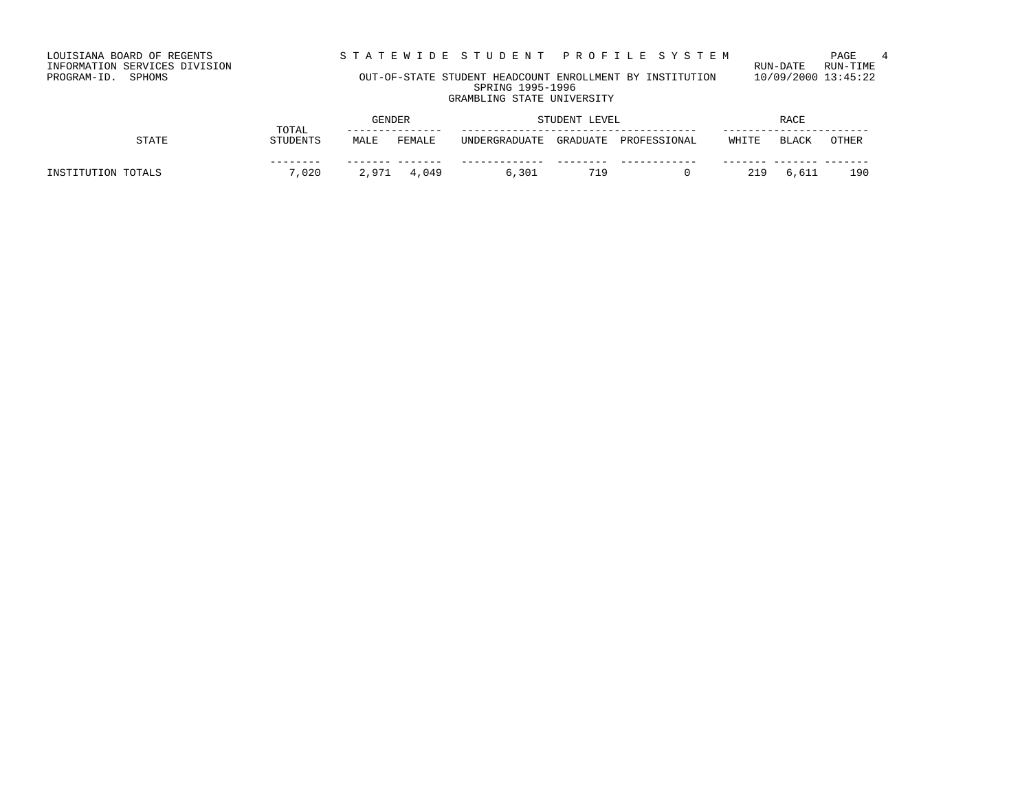STATEWIDE STUDENT PROFILE SYSTEM PAGE 4<br>RUN-DATE RUN-TIME

LOUISIANA BOARD OF REGENTS<br>INFORMATION SERVICES DIVISION<br>PROGRAM-ID. SPHOMS

# OUT-OF-STATE STUDENT HEADCOUNT ENROLLMENT BY INSTITUTION 10/09/2000 13:45:22 SPRING 1995-1996 GRAMBLING STATE UNIVERSITY

|                    | TOTAL           | GENDER |        | STUDENT LEVEL |          | <b>RACE</b>  |       |       |       |
|--------------------|-----------------|--------|--------|---------------|----------|--------------|-------|-------|-------|
| <b>STATE</b>       | <b>STUDENTS</b> | MALE   | FEMALE | UNDERGRADUATE | GRADUATE | PROFESSIONAL | WHITE | BLACK | OTHER |
| INSTITUTION TOTALS | ------<br>7,020 | 2,971  | 4,049  | 6,301         | 719      |              | 219   | 6,611 | 190   |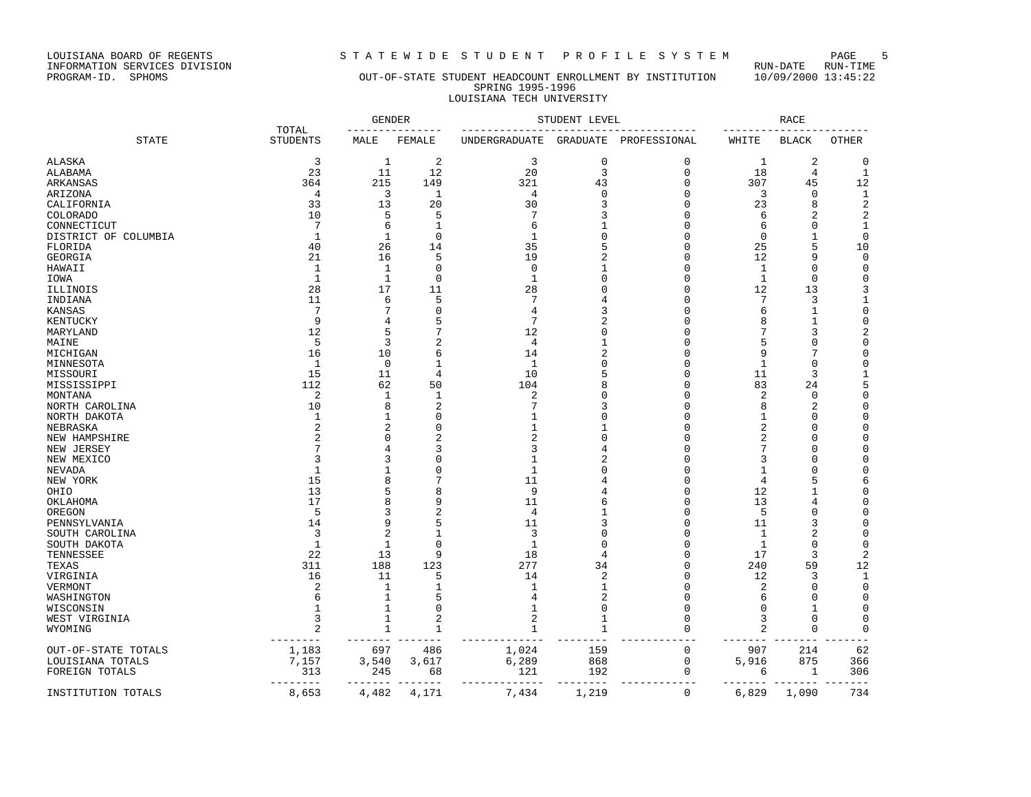LOUISIANA BOARD OF REGENTS STA TEWIDE STUDENT PROFILE SYSTEM PAGE 5<br>INFORMATION SERVICES DIVISION LOUISIANA BOARD OF REGENTS<br>INFORMATION SERVICES DIVISION<br>PROGRAM-ID. SPHOMS

# OUT-OF-STATE STUDENT HEADCOUNT ENROLLMENT BY INSTITUTION 10/09/2000 13:45:22 SPRING 1995-1996 LOUISIANA TECH UNIVERSITY

|                          |                          |                | <b>GENDER</b>  |                | STUDENT LEVEL  |                      |              | <b>RACE</b>    |                |
|--------------------------|--------------------------|----------------|----------------|----------------|----------------|----------------------|--------------|----------------|----------------|
| <b>STATE</b>             | TOTAL<br><b>STUDENTS</b> | MALE           | FEMALE         | UNDERGRADUATE  | GRADUATE       | PROFESSIONAL         | WHITE        | <b>BLACK</b>   | OTHER          |
| ALASKA                   | 3                        | $\mathbf{1}$   | $\overline{c}$ | 3              | $\mathbf 0$    | $\mathbf 0$          | 1            | 2              | $\Omega$       |
| ALABAMA                  | 23                       | 11             | 12             | 20             | $\overline{3}$ | $\mathbf 0$          | 18           | 4              | $\mathbf{1}$   |
| ARKANSAS                 | 364                      | 215            | 149            | 321            | 43             | $\Omega$             | 307          | 45             | 12             |
| ARIZONA                  | $\overline{4}$           | 3              | 1              | 4              | $\Omega$       | $\Omega$             | 3            | 0              | $\mathbf{1}$   |
| CALIFORNIA               | 33                       | 13             | 20             | 30             | ζ              | $\Omega$             | 23           | 8              | $\sqrt{2}$     |
| COLORADO                 | 10                       | 5              | 5              | 7              | 3              | $\Omega$             | 6            | $\overline{2}$ | $\overline{2}$ |
| CONNECTICUT              | 7                        | 6              | 1              | 6              |                | $\Omega$             | 6            | $\Omega$       | $\mathbf{1}$   |
| DISTRICT OF COLUMBIA     | 1                        | 1              | $\Omega$       | 1              | $\cap$         | $\Omega$             | $\mathbf 0$  | 1              | $\mathbf 0$    |
| FLORIDA                  | 40                       | 26             | 14             | 35             | 5              | $\Omega$             | 25           | 5              | 10             |
| GEORGIA                  | 21                       | 16             | 5              | 19             | 2              | $\Omega$             | 12           | 9              | 0              |
| HAWAII                   | 1                        | 1              | $\Omega$       | 0              |                | $\Omega$             | 1            | $\mathbf 0$    | 0              |
| IOWA                     | 1                        | 1              | $\Omega$       | 1              |                | $\Omega$             | 1            | 0              | 0              |
| ILLINOIS                 | 28                       | 17             | 11             | 28             |                | $\Omega$             | 12           | 13             | 3              |
| INDIANA                  | 11                       | 6              | 5              | 7              |                | $\Omega$             | 7            | 3              | 1              |
| KANSAS                   | 7                        | 7              | O              | 4              |                | $\Omega$             | 6            | 1              | $\mathbf 0$    |
| KENTUCKY                 | $\mathsf{Q}$             | $\overline{4}$ | 5              | 7              |                | $\cap$               | 8            | $\mathbf{1}$   | $\Omega$       |
| MARYLAND                 | 12                       | 5              |                | 12             | $\cap$         | $\Omega$             | 7            | 3              | $\overline{2}$ |
| MAINE                    | 5                        | $\overline{3}$ | 2              | $\overline{4}$ |                | $\Omega$             | 5            | $\mathbf 0$    | $\Omega$       |
| MICHIGAN                 | 16                       | 10             | б              | 14             |                | $\Omega$             | 9            | 7              | $\Omega$       |
| MINNESOTA                | $\mathbf{1}$             | $\mathbf 0$    | $\mathbf{1}$   | $\mathbf{1}$   |                | $\Omega$             | $\mathbf{1}$ | $\Omega$       | $\Omega$       |
| MISSOURI                 | 15                       | 11             | 4              | 10             |                | $\Omega$             | 11           | 3              | 1              |
| MISSISSIPPI              | 112                      | 62             | 50             | 104            |                | $\Omega$             | 83           | 24             | 5              |
| MONTANA                  | $\overline{2}$           | 1              | 1              | 2              |                | $\Omega$             | 2            | 0              | $\Omega$       |
|                          | 10                       | 8              | 2              |                | 3              | $\Omega$             | 8            | $\overline{2}$ | $\Omega$       |
| NORTH CAROLINA           | -1                       | 1              | $\Omega$       |                |                | $\Omega$             | 1            | 0              | $\Omega$       |
| NORTH DAKOTA<br>NEBRASKA | 2                        | $\overline{2}$ | O              |                |                | $\Omega$             | 2            | $\mathbf 0$    | $\Omega$       |
|                          |                          | $\Omega$       |                | 2              |                | $\Omega$             | 2            | $\Omega$       | $\Omega$       |
| NEW HAMPSHIRE            |                          | 4              | 3              | 3              |                | $\Omega$             | 7            | 0              | $\Omega$       |
| NEW JERSEY               | 3                        | 3              |                |                |                | $\Omega$             | 3            | $\Omega$       | $\Omega$       |
| NEW MEXICO               | -1                       | 1              | O              | -1             |                | $\Omega$             |              | $\Omega$       | $\Omega$       |
| NEVADA                   | 15                       | 8              |                | 11             |                | $\Omega$             | 1            |                |                |
| NEW YORK                 |                          |                |                |                |                | $\Omega$             | 4            | 5              | 6              |
| OHIO                     | 13<br>17                 | 5<br>8         | ٤<br>9         | 9              |                | $\Omega$             | 12           | 1              | 0<br>$\Omega$  |
| OKLAHOMA                 | 5                        | 3              | 2              | 11<br>4        |                | $\Omega$             | 13<br>5      | 4<br>$\Omega$  | $\Omega$       |
| OREGON                   | 14                       | 9              | 5              | 11             | ζ              | $\Omega$             | 11           | 3              | $\Omega$       |
| PENNSYLVANIA             | 3                        | $\overline{c}$ |                | 3              | $\cap$         | $\Omega$             |              | $\overline{2}$ | $\Omega$       |
| SOUTH CAROLINA           |                          |                | 1<br>$\Omega$  | $\mathbf{1}$   | $\Omega$       |                      | 1            |                |                |
| SOUTH DAKOTA             | $\mathbf{1}$<br>22       | $\mathbf{1}$   | 9              | 18             | $\overline{4}$ | $\Omega$<br>$\Omega$ | $\mathbf{1}$ | $\mathbf 0$    | $\Omega$       |
| TENNESSEE                |                          | 13             |                |                |                |                      | 17           | 3              | $\overline{2}$ |
| TEXAS                    | 311                      | 188            | 123            | 277            | 34             | $\Omega$             | 240          | 59             | 12             |
| VIRGINIA                 | 16                       | 11             | 5              | 14             | $\overline{2}$ | $\Omega$             | 12           | 3              | $\mathbf{1}$   |
| VERMONT                  | 2                        | 1              | 1              |                |                | $\Omega$             | 2            | $\mathbf 0$    | $\mathbf 0$    |
| WASHINGTON               |                          | 1              | 5              | 4              | 2              | $\Omega$             | 6            | $\Omega$       | $\Omega$       |
| WISCONSIN                |                          | 1              | $\Omega$       |                | $\Omega$       | $\Omega$             | 0            | 1              | 0              |
| WEST VIRGINIA            | 3                        | 1              | $\overline{2}$ | 2              | 1              | $\Omega$             | 3            | $\mathbf 0$    | $\Omega$       |
| WYOMING                  | $\overline{2}$           | 1              | 1              |                | 1              | $\Omega$             | 2            | $\mathbf 0$    | $\mathbf 0$    |
| OUT-OF-STATE TOTALS      | 1,183                    | 697            | 486            | 1,024          | 159            | 0                    | 907          | 214            | 62             |
| LOUISIANA TOTALS         | 7,157                    | 3,540          | 3,617          | 6,289          | 868            | 0                    | 5,916        | 875            | 366            |
| FOREIGN TOTALS           | 313                      | 245            | 68             | 121            | 192            | 0                    | 6            | 1              | 306            |
|                          | $------$                 | $- - - - -$    | $- -$          | -------        | --------       |                      | $- - - - -$  |                | $- - -$        |
| INSTITUTION TOTALS       | 8,653                    | 4,482          | 4,171          | 7,434          | 1,219          | $\mathbf 0$          | 6,829        | 1,090          | 734            |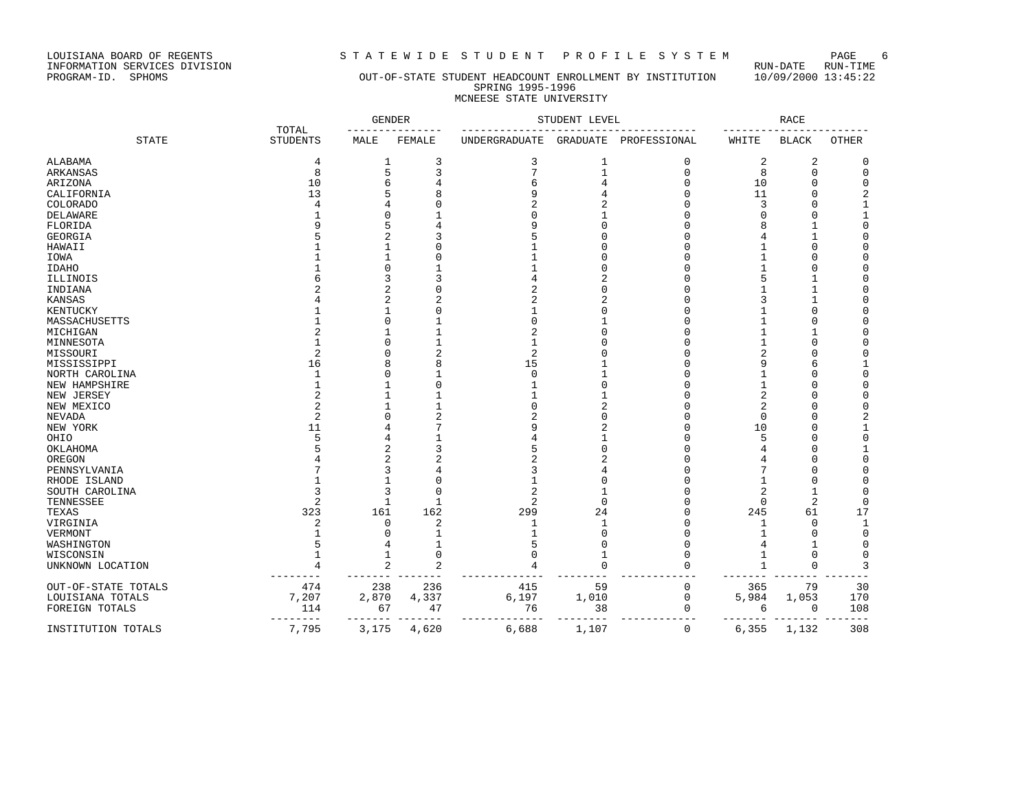LOUISIANA BOARD OF REGENTS STA TEWIDE STUDENT PROFILE SYSTEM PAGE 6<br>INFORMATION SERVICES DIVISION LOUISIANA BOARD OF REGENTS<br>INFORMATION SERVICES DIVISION<br>PROGRAM-ID. SPHOMS

# OUT-OF-STATE STUDENT HEADCOUNT ENROLLMENT BY INSTITUTION 10/09/2000 13:45:22 SPRING 1995-1996 MCNEESE STATE UNIVERSITY

|                     |                          | <b>GENDER</b>  |                | STUDENT LEVEL  |                 |              | <b>RACE</b>  |                         |              |
|---------------------|--------------------------|----------------|----------------|----------------|-----------------|--------------|--------------|-------------------------|--------------|
| <b>STATE</b>        | TOTAL<br><b>STUDENTS</b> | MALE           | FEMALE         | UNDERGRADUATE  | <b>GRADUATE</b> | PROFESSIONAL | WHITE        | <b>BLACK</b>            | OTHER        |
| <b>ALABAMA</b>      | 4                        | $\mathbf{1}$   | 3              | 3              | $\mathbf 1$     | $\mathbf 0$  | 2            | $\overline{\mathbf{c}}$ | $\mathbf 0$  |
| ARKANSAS            | 8                        | 5              | 3              | 7              | $\mathbf{1}$    | $\mathbf 0$  | 8            | $\Omega$                | $\mathbf 0$  |
| ARIZONA             | 10                       | 6              |                | б              |                 | $\Omega$     | 10           | $\Omega$                | $\mathbf 0$  |
| CALIFORNIA          | 13                       |                |                | q              |                 | $\sqrt{ }$   | 11           | U                       | 2            |
| <b>COLORADO</b>     |                          |                |                | 2              |                 | C            | 3            | $\Omega$                | $\mathbf{1}$ |
| DELAWARE            |                          |                |                |                |                 | ſ            | O            | U                       | $\mathbf 1$  |
| FLORIDA             |                          |                |                |                |                 |              | 8            | 1                       | $\mathbf 0$  |
| GEORGIA             |                          |                |                |                |                 |              |              |                         | $\mathbf 0$  |
| HAWAII              |                          |                |                |                |                 |              |              | $\Omega$                | 0            |
| IOWA                |                          |                |                |                |                 |              |              | $\Omega$                | $\mathbf 0$  |
| IDAHO               |                          |                |                |                |                 |              |              | $\Omega$                | 0            |
| ILLINOIS            |                          |                |                |                |                 |              |              |                         | $\mathbf 0$  |
| INDIANA             |                          | 2              |                | 2              |                 |              |              |                         | $\mathbf 0$  |
| KANSAS              |                          | 2              |                | 2              |                 |              |              |                         | 0            |
| KENTUCKY            |                          |                |                |                |                 |              |              | $\Omega$                | 0            |
| MASSACHUSETTS       |                          | C              |                | O              |                 |              |              | $\Omega$                | $\mathbf 0$  |
| MICHIGAN            |                          |                | 1              | 2              |                 |              |              |                         | 0            |
| MINNESOTA           |                          |                | $\mathbf{1}$   | 1              |                 |              |              | $\Omega$                | 0            |
| MISSOURI            | 2                        |                |                | $\overline{2}$ |                 |              |              | $\Omega$                | $\mathbf 0$  |
| MISSISSIPPI         | 16                       |                | 8              | 15             |                 |              | 9            | 6                       | $\mathbf 1$  |
| NORTH CAROLINA      |                          |                |                | $\Omega$       |                 |              |              | C                       | $\mathbf 0$  |
| NEW HAMPSHIRE       |                          |                |                |                |                 |              |              | C                       | $\mathbf 0$  |
| NEW JERSEY          |                          |                |                |                |                 |              | 2            | C                       | 0            |
| NEW MEXICO          |                          |                |                |                |                 |              | 2            | C                       | 0            |
| NEVADA              | 2                        |                |                | 2              |                 |              | 0            | n                       | 2            |
| NEW YORK            | 11                       |                |                |                |                 |              | 10           | $\Omega$                | $\mathbf{1}$ |
| OHIO                |                          |                |                |                |                 |              | 5            | $\cap$                  | $\mathsf 0$  |
| OKLAHOMA            |                          | 2              |                |                |                 |              |              | $\Omega$                | $\mathbf{1}$ |
| OREGON              |                          |                |                |                |                 |              |              | $\Omega$                | $\mathsf 0$  |
| PENNSYLVANIA        |                          | Р              |                | 3              |                 |              |              | $\cap$                  | $\mathbf 0$  |
| RHODE ISLAND        |                          |                |                |                |                 |              |              | C                       | $\mathbf 0$  |
| SOUTH CAROLINA      |                          | Р              | $\Omega$       | 2              |                 |              | 2            | $\mathbf{1}$            | 0            |
| TENNESSEE           |                          | $\mathbf{1}$   | $\mathbf{1}$   | 2              | $\Omega$        |              | 0            | $\overline{c}$          | 0            |
| TEXAS               | 323                      | 161            | 162            | 299            | 24              | C            | 245          | 61                      | 17           |
| VIRGINIA            | 2                        | $\mathbf 0$    | 2              | 1              | $\mathbf{1}$    |              | 1            | $\Omega$                | $\mathbf{1}$ |
| VERMONT             |                          |                |                |                | ſ               |              | 1            | ∩                       | $\mathbf 0$  |
| WASHINGTON          |                          | 4              | $\mathbf{1}$   |                | ſ               |              | 4            |                         | $\mathbf 0$  |
| WISCONSIN           |                          | $\mathbf{1}$   | $\Omega$       |                |                 | $\sqrt{ }$   | 1            | $\Omega$                | 0            |
| UNKNOWN LOCATION    |                          | $\overline{c}$ | $\overline{2}$ |                | $\Omega$        | C            | $\mathbf{1}$ | $\mathbf 0$             | 3            |
| OUT-OF-STATE TOTALS | 474                      | 238            | 236            | 415            | 59              | 0            | 365          | 79                      | 30           |
| LOUISIANA TOTALS    | 7,207                    | 2,870          | 4,337          | 6,197          | 1,010           | 0            | 5,984        | 1,053                   | 170          |
| FOREIGN TOTALS      | 114                      | 67             | 47             | 76             | 38              | 0            | 6            | $\mathbf 0$             | 108          |
| INSTITUTION TOTALS  | 7,795                    | 3,175          | 4,620          | 6,688          | 1,107           | 0            | 6,355        | 1,132                   | 308          |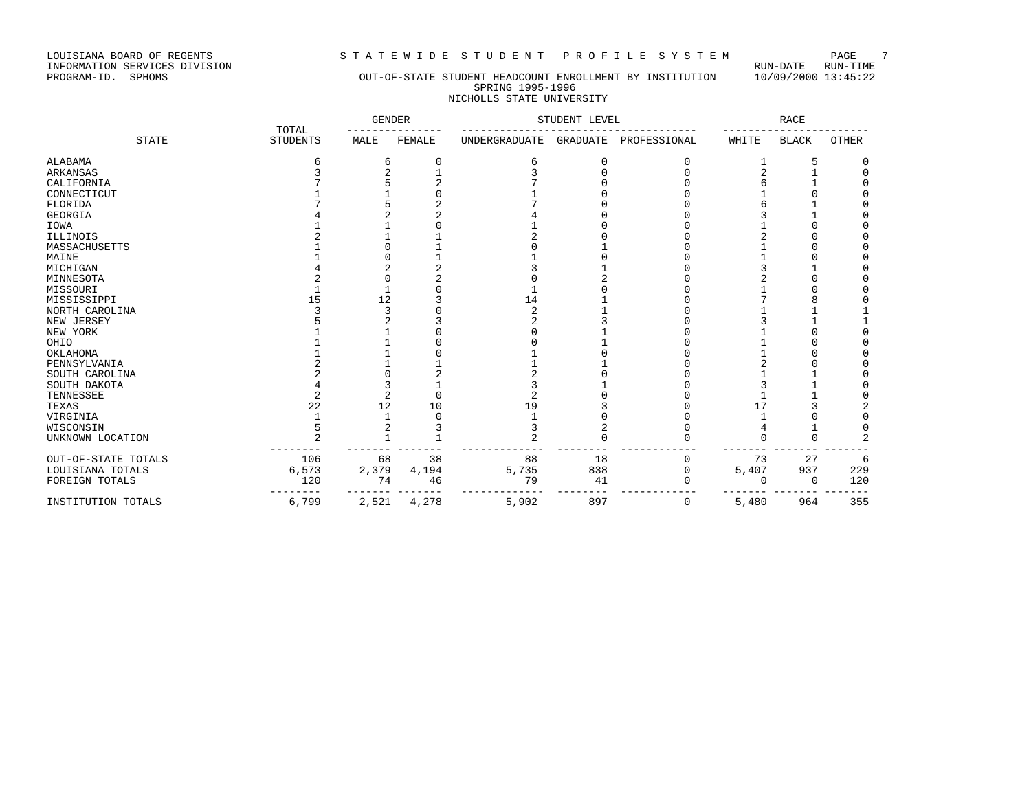LOUISIANA BOARD OF REGENTS STRITE WIDE STUDENT PROFILE SYSTEM PAGE 7<br>INFORMATION SERVICES DIVISION INFORMATION SERVICES DIVISION<br>PROGRAM-ID. SPHOMS

# OUT-OF-STATE STUDENT HEADCOUNT ENROLLMENT BY INSTITUTION 10/09/2000 13:45:22 SPRING 1995-1996 NICHOLLS STATE UNIVERSITY

|                     | TOTAL           | <b>GENDER</b> |        | STUDENT LEVEL  |                 | RACE         |       |              |          |
|---------------------|-----------------|---------------|--------|----------------|-----------------|--------------|-------|--------------|----------|
| <b>STATE</b>        | <b>STUDENTS</b> | MALE          | FEMALE | UNDERGRADUATE  | <b>GRADUATE</b> | PROFESSIONAL | WHITE | <b>BLACK</b> | OTHER    |
| ALABAMA             | б               | 6             | 0      | 6              | $\Omega$        |              |       | 5            | 0        |
| ARKANSAS            |                 |               |        |                |                 |              |       |              | $\Omega$ |
| CALIFORNIA          |                 |               |        |                |                 |              |       |              | U        |
| CONNECTICUT         |                 |               |        |                |                 |              |       |              |          |
| FLORIDA             |                 |               |        |                |                 |              |       |              |          |
| GEORGIA             |                 |               |        |                |                 |              |       |              |          |
| IOWA                |                 |               |        |                |                 |              |       |              |          |
| ILLINOIS            |                 |               |        |                |                 |              |       |              |          |
| MASSACHUSETTS       |                 |               |        |                |                 |              |       |              |          |
| MAINE               |                 |               |        |                |                 |              |       |              |          |
| MICHIGAN            |                 |               |        |                |                 |              |       |              |          |
| MINNESOTA           |                 |               |        |                |                 |              |       |              |          |
| MISSOURI            |                 |               |        |                |                 |              |       |              |          |
| MISSISSIPPI         | 15              | 12            |        | 14             |                 |              |       |              |          |
| NORTH CAROLINA      |                 |               |        | $\overline{c}$ |                 |              |       |              |          |
| NEW JERSEY          |                 |               |        |                |                 |              |       |              |          |
| NEW YORK            |                 |               |        |                |                 |              |       |              |          |
| OHIO                |                 |               |        |                |                 |              |       |              |          |
| OKLAHOMA            |                 |               |        |                |                 |              |       |              |          |
| PENNSYLVANIA        |                 |               |        |                |                 |              |       |              |          |
| SOUTH CAROLINA      |                 |               |        |                |                 |              |       |              |          |
| SOUTH DAKOTA        |                 |               |        |                |                 |              |       |              |          |
| TENNESSEE           |                 |               |        |                |                 |              |       |              |          |
| TEXAS               | 22              | 12            | 10     | 19             |                 |              |       |              |          |
| VIRGINIA            |                 |               |        |                |                 |              |       |              |          |
| WISCONSIN           |                 |               |        |                |                 |              |       |              |          |
| UNKNOWN LOCATION    |                 |               |        |                |                 |              |       | U            |          |
| OUT-OF-STATE TOTALS | 106             | 68            | 38     | 88             | 18              |              | 73    | 27           | 6        |
| LOUISIANA TOTALS    | 6,573           | 2,379         | 4,194  | 5,735          | 838             | $\Omega$     | 5,407 | 937          | 229      |
| FOREIGN TOTALS      | 120             | 74            | 46     | 79             | 41              |              | U     | $\Omega$     | 120      |
| INSTITUTION TOTALS  | 6,799           | 2,521         | 4,278  | 5,902          | 897             | 0            | 5,480 | 964          | 355      |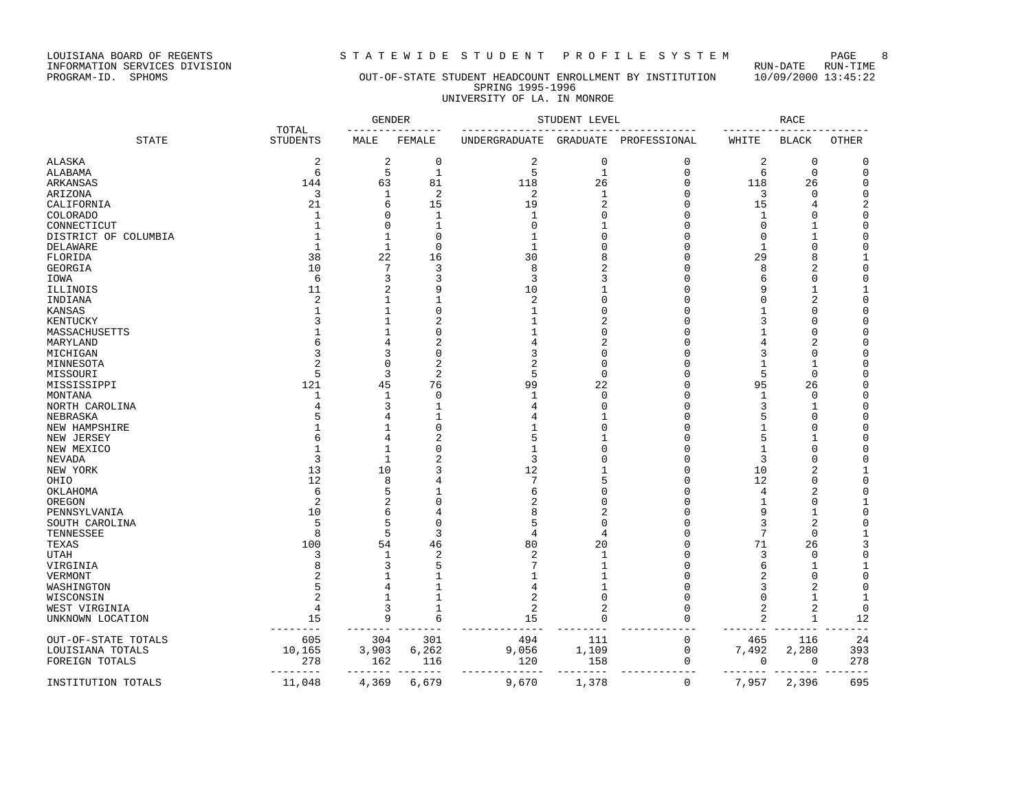LOUISIANA BOARD OF REGENTS STATEWIDE STUDENT PROFILE SYSTEM PAGE 8<br>INFORMATION SERVICES DIVISION LOUISIANA BOARD OF REGENTS<br>INFORMATION SERVICES DIVISION<br>PROGRAM-ID. SPHOMS

# OUT-OF-STATE STUDENT HEADCOUNT ENROLLMENT BY INSTITUTION 10/09/2000 13:45:22 SPRING 1995-1996 UNIVERSITY OF LA. IN MONROE

| TOTAL                |                 |                  | <b>GENDER</b>  | STUDENT LEVEL  |                 |                      | <b>RACE</b> |                |                      |
|----------------------|-----------------|------------------|----------------|----------------|-----------------|----------------------|-------------|----------------|----------------------|
| <b>STATE</b>         | <b>STUDENTS</b> | MALE             | FEMALE         | UNDERGRADUATE  | <b>GRADUATE</b> | PROFESSIONAL         | WHITE       | <b>BLACK</b>   | <b>OTHER</b>         |
| ALASKA               | $\overline{2}$  | $\overline{c}$   | 0              | 2              | $\mathbf 0$     | 0                    | 2           | 0              | 0                    |
| ALABAMA              | 6               | 5                | $\mathbf{1}$   | 5              | $1\,$           | $\mathbf 0$          | 6           | $\mathbf 0$    | $\mathbf 0$          |
| ARKANSAS             | 144             | 63               | 81             | 118            | 26              | $\Omega$             | 118         | 26             | $\Omega$             |
| ARIZONA              | 3               | 1                | $\overline{2}$ | 2              | $\mathbf{1}$    | $\Omega$             | 3           | 0              | $\mathbf 0$          |
| CALIFORNIA           | 21              | 6                | 15             | 19             | 2               | $\Omega$             | 15          | 4              | 2                    |
| COLORADO             | $\mathbf{1}$    | $\Omega$         | $\mathbf{1}$   | $\mathbf{1}$   | $\Omega$        | $\Omega$             | 1           | $\Omega$       | $\mathbf 0$          |
| CONNECTICUT          | $\mathbf{1}$    | $\mathbf 0$      | $\mathbf{1}$   | $\Omega$       | -1              | $\Omega$             | 0           | $\mathbf{1}$   | $\Omega$             |
| DISTRICT OF COLUMBIA |                 | $\mathbf{1}$     | $\Omega$       |                | $\cap$          | $\Omega$             | 0           | 1              | $\mathsf 0$          |
| DELAWARE             |                 | $\mathbf{1}$     | $\Omega$       |                | $\cap$          | $\Omega$             | 1           | $\mathbf 0$    | $\mathbf 0$          |
| FLORIDA              | 38              | 22               | 16             | 30             |                 | $\Omega$             | 29          | 8              | 1                    |
| <b>GEORGIA</b>       | 10              | 7                | 3              | 8              | 2               | $\Omega$             | 8           | $\overline{2}$ | $\Omega$             |
| IOWA                 | 6               | 3                | 3              | 3              | κ               | $\Omega$             | 6           | $\mathbf 0$    | $\mathbf 0$          |
| ILLINOIS             | 11              | $\overline{2}$   | 9              | 10             |                 | $\Omega$             | 9           | $\mathbf{1}$   | 1                    |
| INDIANA              | 2               | -1               |                | 2              |                 | $\Omega$             | U           | $\overline{2}$ | $\mathbf 0$          |
| KANSAS               |                 | $\mathbf{1}$     | O              |                |                 | $\Omega$             |             | $\Omega$       | $\Omega$             |
| KENTUCKY             |                 | 1                | 2              |                |                 | $\Omega$             | 3           | $\mathbf 0$    | $\mathbf 0$          |
| MASSACHUSETTS        |                 | 1                | O              |                |                 | $\Omega$             |             | 0              | $\Omega$             |
| MARYLAND             |                 | 4                | 2              |                |                 | $\cap$               | 4           | 2              | $\Omega$             |
|                      | 3               | 3                | O              | 3              |                 | $\Omega$             | 3           | $\Omega$       | $\Omega$             |
| MICHIGAN             |                 |                  | 2              | 2              | $\Omega$        | $\Omega$             | 1           | 1              | $\Omega$             |
| MINNESOTA            | 5               | $\mathbf 0$<br>२ | $\overline{c}$ | 5              | $\Omega$        | $\Omega$             | 5           | $\Omega$       | $\Omega$             |
| MISSOURI             |                 |                  |                | 99             |                 | $\Omega$             |             |                | $\Omega$             |
| MISSISSIPPI          | 121             | 45               | 76<br>$\Omega$ | 1              | 22<br>$\Omega$  | $\Omega$             | 95          | 26             | $\Omega$             |
| MONTANA              | 1               | 1                |                |                |                 |                      | 1           | 0              |                      |
| NORTH CAROLINA       | 4               | 3                | $\mathbf{1}$   | 4              | $\Omega$        | $\Omega$<br>$\Omega$ | 3<br>5      | 1              | $\Omega$<br>$\Omega$ |
| NEBRASKA             |                 | 4                |                |                | $\Omega$        |                      |             | 0              |                      |
| NEW HAMPSHIRE        |                 | -1               | 0              |                |                 | $\Omega$             | 1           | 0              | $\Omega$             |
| NEW JERSEY           |                 | 4                | 2              | 5              |                 | ∩                    | 5           | 1              | $\Omega$             |
| NEW MEXICO           |                 | $\mathbf{1}$     | O              |                | $\Omega$        | $\Omega$             | 1           | $\mathbf 0$    | $\Omega$             |
| NEVADA               | 3               | 1                | 2              | 3              |                 | $\Omega$             | 3           | $\mathbf 0$    | $\mathbf 0$          |
| NEW YORK             | 13              | 10               | 3              | 12             |                 | $\Omega$             | 10          | $\overline{a}$ | 1                    |
| OHIO                 | 12              | 8                |                |                | 5               | $\Omega$             | 12          | $\mathbf 0$    | $\Omega$             |
| ОКLАНОМА             | 6               | 5                | $\mathbf{1}$   | 6              | $\Omega$        | $\Omega$             | 4           | $\overline{2}$ | $\mathbf 0$          |
| OREGON               | 2               | 2                | $\Omega$       |                | n               | $\Omega$             | 1           | 0              | 1                    |
| PENNSYLVANIA         | 10              | 6                | 4              | 8              | 2               | $\Omega$             | 9           | $\mathbf{1}$   | $\mathbf 0$          |
| SOUTH CAROLINA       | 5               | 5                | 0              | 5              | $\Omega$        | $\Omega$             | 3           | $\overline{2}$ | 0                    |
| TENNESSEE            | $\mathsf{R}$    | 5                | 3              | 4              | 4               | $\Omega$             | 7           | $\Omega$       | 1                    |
| TEXAS                | 100             | 54               | 46             | 80             | 20              | $\Omega$             | 71          | 26             | 3                    |
| UTAH                 | 3               | 1                | $\overline{2}$ | $\overline{c}$ | 1               | $\Omega$             | 3           | 0              | $\mathsf 0$          |
| VIRGINIA             |                 | 3                | 5              |                |                 | $\cap$               | 6           | 1              | 1                    |
| VERMONT              |                 | $\mathbf{1}$     | 1              |                |                 | $\Omega$             | 2           | $\Omega$       | $\Omega$             |
| WASHINGTON           |                 | 4                | $\mathbf{1}$   | 4              |                 | $\Omega$             | 3           | $\overline{2}$ | $\mathbf 0$          |
| WISCONSIN            | 2               | 1                | $\mathbf{1}$   | 2              | $\Omega$        | $\Omega$             | $\Omega$    | 1              | 1                    |
| WEST VIRGINIA        | 4               | 3                | $\mathbf{1}$   | 2              | 2               | $\Omega$             | 2           | $\overline{2}$ | $\mathbf 0$          |
| UNKNOWN LOCATION     | 15              | 9                | 6              | 15             | $\Omega$        | $\Omega$             | 2           | $\mathbf{1}$   | 12<br>$ -$           |
| OUT-OF-STATE TOTALS  | 605             | 304              | 301            | 494            | 111             | 0                    | 465         | 116            | 24                   |
| LOUISIANA TOTALS     | 10,165          | 3,903            | 6,262          | 9,056          | 1,109           | 0                    | 7,492       | 2,280          | 393                  |
| FOREIGN TOTALS       | 278             | 162              | 116            | 120            | 158             | 0                    | 0           | 0              | 278                  |
| INSTITUTION TOTALS   | 11,048          | 4,369            | 6,679          | 9,670          | 1,378           | 0                    | 7,957       | 2,396          | 695                  |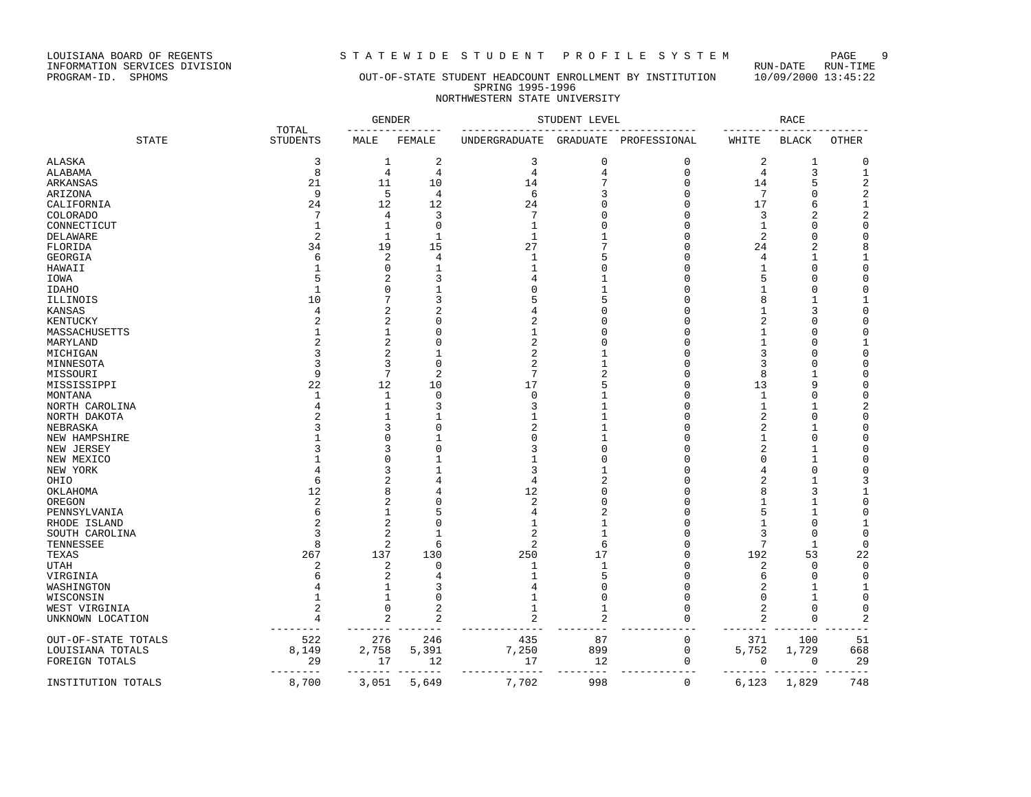LOUISIANA BOARD OF REGENTS<br>INFORMATION SERVICES DIVISION<br>PROGRAM-ID. SPHOMS

# STATEWIDE STUDENT PROFILE SYSTEM PAGE 9<br>RUN-DATE RUN-TIME

# OUT-OF-STATE STUDENT HEADCOUNT ENROLLMENT BY INSTITUTION 10/09/2000 13:45:22 SPRING 1995-1996 NORTHWESTERN STATE UNIVERSITY

| TOTAL                  |  |                        | <b>GENDER</b>  | STUDENT LEVEL |                |                | <b>RACE</b>  |                  |                |                  |
|------------------------|--|------------------------|----------------|---------------|----------------|----------------|--------------|------------------|----------------|------------------|
| <b>STATE</b>           |  | <b>STUDENTS</b>        | MALE           | FEMALE        | UNDERGRADUATE  | GRADUATE       | PROFESSIONAL | WHITE            | <b>BLACK</b>   | OTHER            |
| <b>ALASKA</b>          |  | 3                      | 1              | 2             | 3              | 0              | 0            | 2                | 1              | 0                |
| ALABAMA                |  | 8                      | $\overline{4}$ | 4             | 4              | 4              | $\mathbf 0$  | 4                | 3              | $\mathbf 1$      |
| ARKANSAS               |  | 21                     | 11             | 10            | 14             | 7              | $\Omega$     | 14               | 5              | $\sqrt{2}$       |
| ARIZONA                |  | 9                      | 5              | 4             | 6              | 3              | $\Omega$     | 7                | 0              | $\overline{c}$   |
| CALIFORNIA             |  | 24                     | 12             | 12            | 24             |                | $\Omega$     | 17               | 6              | $1\,$            |
| <b>COLORADO</b>        |  | 7                      | 4              | 3             | 7              |                | $\Omega$     | 3                | $\overline{c}$ | $\boldsymbol{2}$ |
| CONNECTICUT            |  |                        | 1              | $\Omega$      | $\mathbf{1}$   |                | $\Omega$     | 1                | $\Omega$       | $\mathbf 0$      |
| DELAWARE               |  | $\overline{2}$         | $\mathbf{1}$   | $\mathbf{1}$  | $\mathbf{1}$   |                | $\Omega$     | 2                | $\Omega$       | $\mathbf 0$      |
| FLORIDA                |  | 34                     | 19             | 15            | 27             |                | $\Omega$     | 24               | $\overline{c}$ | 8                |
| GEORGIA                |  |                        | $\overline{2}$ | 4             |                |                | $\Omega$     | 4                | 1              | 1                |
| HAWAII                 |  |                        | $\Omega$       | $\mathbf{1}$  |                |                | O            | 1                | $\Omega$       | $\mathbf 0$      |
| IOWA                   |  |                        | 2              | 3             |                |                | O            | 5                | $\Omega$       | $\mathbf 0$      |
| <b>IDAHO</b>           |  |                        | $\Omega$       | -1            |                |                | $\Omega$     | 1                | $\Omega$       | $\mathbf 0$      |
| ILLINOIS               |  | 10                     | 7              | 3             |                |                | $\Omega$     | 8                | 1              | 1                |
| KANSAS                 |  | 4                      | $\overline{c}$ | 2             |                |                | $\cap$       | 1                | 3              | $\mathbf 0$      |
| KENTUCKY               |  |                        | $\overline{c}$ | 0             | 2              |                | $\Omega$     | 2                | $\Omega$       | $\mathbf 0$      |
| MASSACHUSETTS          |  |                        | -1             | C             |                |                | O            | 1                | U              | $\mathbf 0$      |
| MARYLAND               |  |                        | $\overline{c}$ | 0             | $\overline{c}$ |                | $\Omega$     | 1                | $\Omega$       | $\mathbf 1$      |
| MICHIGAN               |  |                        | 2              | -1            | 2              |                | $\Omega$     | 3                | $\Omega$       | $\mathbf 0$      |
| MINNESOTA              |  |                        | 3              | $\cap$        | $\overline{c}$ |                | O            | 3                | $\Omega$       | $\mathbf 0$      |
| MISSOURI               |  | 9                      | 7              | 2             | 7              |                | $\Omega$     | 8                | 1              | $\mathbf 0$      |
| MISSISSIPPI            |  | 22                     | 12             | 10            | 17             |                | $\Omega$     | 13               | 9              | $\mathbf 0$      |
| MONTANA                |  |                        | 1              | $\Omega$      | $\Omega$       |                | $\Omega$     | 1                | $\Omega$       | $\mathbf 0$      |
| NORTH CAROLINA         |  |                        | $\mathbf{1}$   | 3             |                |                | O            | 1                | 1              | $\sqrt{2}$       |
| NORTH DAKOTA           |  |                        |                |               |                |                | $\Omega$     | 2                | $\Omega$       | $\mathbf 0$      |
| NEBRASKA               |  |                        | 3              | 0             |                |                | $\Omega$     | 2                | 1              | $\mathbf 0$      |
| NEW HAMPSHIRE          |  |                        | U              |               |                |                | $\Omega$     | 1                | $\Omega$       | $\mathbf 0$      |
| NEW JERSEY             |  |                        | 3              | C             |                |                | $\cap$       | 2                | 1              | $\mathbf 0$      |
| NEW MEXICO             |  |                        | $\Omega$       |               |                |                | $\Omega$     | 0                | $\mathbf{1}$   | $\mathbf 0$      |
| NEW YORK               |  |                        | 3              | 1             | 3              |                | O            | 4                | $\Omega$       | $\mathbf 0$      |
| OHIO                   |  | 6                      | 2              |               | 4              |                | $\Omega$     | 2                | $\mathbf{1}$   | 3                |
| OKLAHOMA               |  | 12                     | 8              |               | 12             |                | O            | 8                | 3              | $1\,$            |
| OREGON                 |  | 2                      | 2              | C             | 2              |                | $\Omega$     | 1                | 1              | $\mathbf 0$      |
| PENNSYLVANIA           |  | 6                      | 1              | 5             | 4              |                | $\Omega$     | 5                | 1              | $\mathbf 0$      |
| RHODE ISLAND           |  |                        | $\overline{c}$ | $\Omega$      |                |                | $\Omega$     | 1                | $\Omega$       | $\mathbf 1$      |
| SOUTH CAROLINA         |  |                        | $\overline{c}$ | $\mathbf{1}$  | $\overline{c}$ |                | $\Omega$     | 3                | $\Omega$       | $\mathbf 0$      |
| TENNESSEE              |  | 8                      | $\overline{2}$ | 6             | $\overline{2}$ | 6              | O            | 7                | $\mathbf 1$    | $\mathbf 0$      |
| TEXAS                  |  | 267                    | 137            | 130           | 250            | 17             | $\Omega$     | 192              | 53             | 22               |
| UTAH                   |  | $\overline{2}$         | $\overline{2}$ | $\Omega$      |                | $\mathbf{1}$   | $\Omega$     | 2                | 0              | $\mathbf 0$      |
|                        |  |                        | 2              |               |                |                | $\Omega$     | 6                | $\Omega$       | $\mathbf 0$      |
| VIRGINIA<br>WASHINGTON |  |                        | -1             | 3             |                | $\Omega$       | $\Omega$     | 2                | 1              | 1                |
| WISCONSIN              |  |                        | 1              | 0             |                | $\Omega$       | $\Omega$     | 0                | 1              | $\mathbf 0$      |
| WEST VIRGINIA          |  |                        | $\Omega$       | 2             |                | -1             | O            | 2                | $\Omega$       | $\mathbf 0$      |
| UNKNOWN LOCATION       |  |                        | $\overline{2}$ | 2             | $\overline{a}$ | $\overline{c}$ | $\Omega$     | 2                | $\Omega$       | $\overline{2}$   |
|                        |  |                        |                |               |                |                |              |                  |                |                  |
| OUT-OF-STATE TOTALS    |  | 522                    | 276            | 246           | 435            | 87             | $\mathbf 0$  | 371              | 100            | 51               |
| LOUISIANA TOTALS       |  | 8,149                  | 2,758          | 5,391         | 7,250          | 899            | $\mathbf 0$  | 5,752            | 1,729          | 668              |
| FOREIGN TOTALS         |  | 29                     | 17             | 12            | 17             | 12             | 0            | 0                | 0              | 29               |
| INSTITUTION TOTALS     |  | $- - - - - -$<br>8,700 | 3,051          | $-$<br>5,649  | 7,702          | ----<br>998    | $\mathbf 0$  | -------<br>6,123 | 1,829          | $- - -$<br>748   |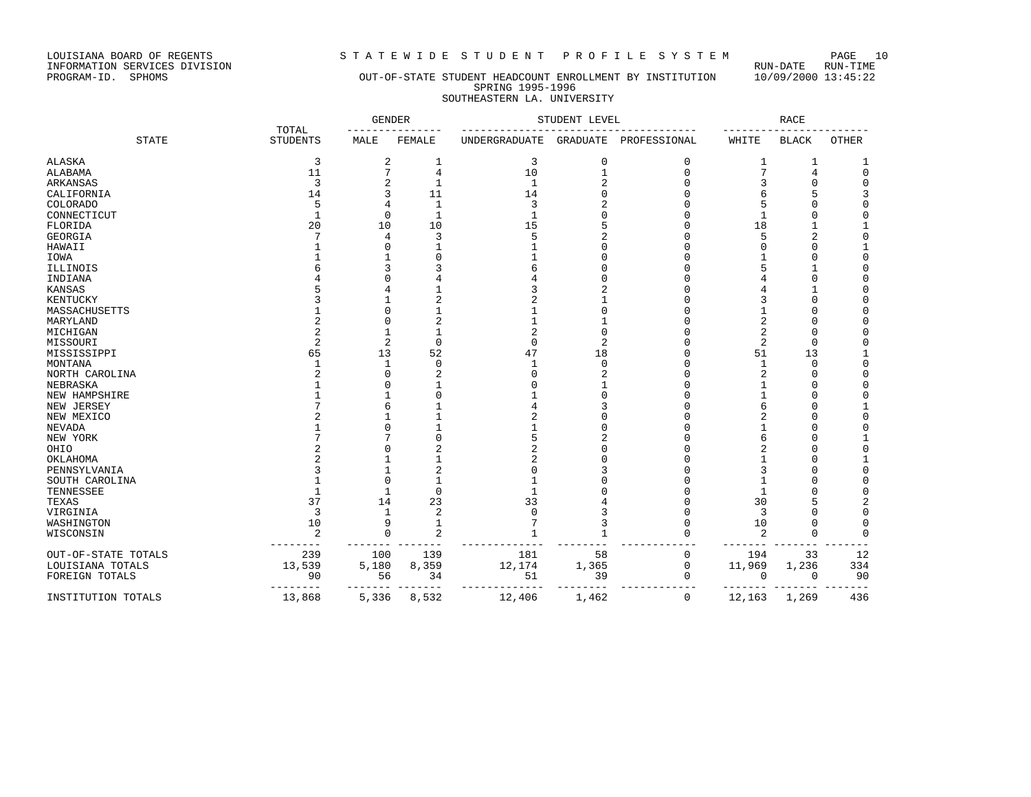LOUISIANA BOARD OF REGENTS STRITEWIDE STUDENT PROFILE SYSTEM PAGE 10<br>INFORMATION SERVICES DIVISION LOUISIANA BOARD OF REGENTS<br>INFORMATION SERVICES DIVISION<br>PROGRAM-ID. SPHOMS

# OUT-OF-STATE STUDENT HEADCOUNT ENROLLMENT BY INSTITUTION 10/09/2000 13:45:22 SPRING 1995-1996 SOUTHEASTERN LA. UNIVERSITY

|                     |                          | <b>GENDER</b>  |                | STUDENT LEVEL |                 |              | <b>RACE</b>    |              |                  |
|---------------------|--------------------------|----------------|----------------|---------------|-----------------|--------------|----------------|--------------|------------------|
| <b>STATE</b>        | TOTAL<br><b>STUDENTS</b> | MALE           | FEMALE         | UNDERGRADUATE | <b>GRADUATE</b> | PROFESSIONAL | WHITE          | <b>BLACK</b> | <b>OTHER</b>     |
| <b>ALASKA</b>       | 3                        | 2              | 1              | 3             | $\Omega$        | $\Omega$     | 1              | 1            |                  |
| ALABAMA             | 11                       | 7              | 4              | 10            | $\mathbf{1}$    | $\Omega$     | 7              | 4            | $\mathbf 0$      |
| ARKANSAS            | 3                        | 2              | 1              | 1             |                 | $\cap$       |                | $\Omega$     | $\mathbf 0$      |
| CALIFORNIA          | 14                       | 3              | 11             | 14            |                 | C            | 6              | 5            | 3                |
| <b>COLORADO</b>     | 5                        | 4              | $\mathbf 1$    | 3             |                 |              | 5              |              | $\Omega$         |
| CONNECTICUT         | $\mathbf{1}$             | $\Omega$       | $\mathbf{1}$   | $\mathbf{1}$  |                 |              | 1              | C            | $\Omega$         |
| FLORIDA             | 20                       | 10             | 10             | 15            |                 |              | 18             |              |                  |
| GEORGIA             |                          | 4              | 3              | 5             |                 | C            | 5              | 2            | $\mathbf 0$      |
| HAWAII              |                          | $\Omega$       |                |               |                 |              |                | $\Omega$     |                  |
| IOWA                |                          |                |                |               |                 |              |                | C            | 0                |
| ILLINOIS            |                          |                |                | б             |                 |              |                | 1            | 0                |
| INDIANA             |                          |                |                |               |                 |              |                | $\Omega$     | 0                |
| KANSAS              |                          |                |                |               |                 |              |                |              | $\mathbf 0$      |
| KENTUCKY            |                          |                |                | 2             |                 |              |                | $\Omega$     | $\Omega$         |
| MASSACHUSETTS       |                          | ſ              |                |               |                 |              |                | U            | $\Omega$         |
| MARYLAND            |                          | $\Omega$       | 2              |               |                 |              | 2              | $\Omega$     | 0                |
| MICHIGAN            |                          |                |                | 2             |                 |              | 2              | $\Omega$     | 0                |
| MISSOURI            | $\overline{a}$           | $\overline{2}$ | $\mathbf{0}$   | $\mathbf 0$   | $\overline{2}$  |              | $\overline{2}$ | $\Omega$     | 0                |
| MISSISSIPPI         | 65                       | 13             | 52             | 47            | 18              | n            | 51             | 13           | 1                |
| MONTANA             |                          | -1             | $\Omega$       | 1             | $\Omega$        | C            | 1              | $\Omega$     | $\mathbf 0$      |
| NORTH CAROLINA      |                          | $\Omega$       | 2              | $\Omega$      | 2               |              | 2              | $\Omega$     | $\mathbf 0$      |
| NEBRASKA            |                          | ſ              |                | $\Omega$      |                 |              |                | C            | $\mathbf 0$      |
| NEW HAMPSHIRE       |                          |                | $\Omega$       |               |                 |              |                | C            | $\Omega$         |
| NEW JERSEY          |                          | б              |                | 4             |                 | C            | 6              | U            |                  |
| NEW MEXICO          |                          |                |                | 2             |                 |              | 2              | n            | $\mathbf 0$      |
| <b>NEVADA</b>       |                          | $\Omega$       |                |               |                 |              |                | C            | $\mathbf 0$      |
| NEW YORK            |                          |                | $\Omega$       | 5             |                 |              | 6              | C            | $\mathbf{1}$     |
| OHIO                |                          |                |                | 2             |                 |              | 2              | C            | $\mathbf 0$      |
| OKLAHOMA            |                          |                |                | 2             |                 | C            |                | C            |                  |
| PENNSYLVANIA        |                          |                | 2              | $\Omega$      |                 |              | 3              | C            | $\mathbf 0$      |
| SOUTH CAROLINA      |                          | $\Omega$       |                |               |                 |              |                | C            | 0                |
| TENNESSEE           |                          |                | $\Omega$       |               |                 |              |                | C            | $\mathbf 0$      |
|                     | 37                       | 14             | 23             | 33            |                 | C            | 30             | 5            |                  |
| TEXAS<br>VIRGINIA   | 3                        | $\mathbf{1}$   | $\overline{2}$ | $\Omega$      |                 | n            | 3              | C            | 2<br>$\mathbf 0$ |
| WASHINGTON          | 10                       | 9              | $\mathbf{1}$   |               |                 | C            | 10             | C            | $\mathbf 0$      |
|                     | $\overline{2}$           | $\Omega$       | $\overline{a}$ |               |                 |              |                | $\Omega$     | $\Omega$         |
| WISCONSIN           |                          |                |                |               |                 |              | $\overline{2}$ |              |                  |
| OUT-OF-STATE TOTALS | 239                      | 100            | 139            | 181           | 58              | 0            | 194            | 33           | 12               |
| LOUISIANA TOTALS    | 13,539                   | 5,180          | 8,359          | 12,174        | 1,365           | 0            | 11,969         | 1,236        | 334              |
| FOREIGN TOTALS      | 90                       | 56             | 34             | 51            | 39              | 0            | 0              | 0            | 90               |
| INSTITUTION TOTALS  | 13,868                   | 5,336          | 8,532          | 12,406        | 1,462           | 0            | 12,163         | 1,269        | 436              |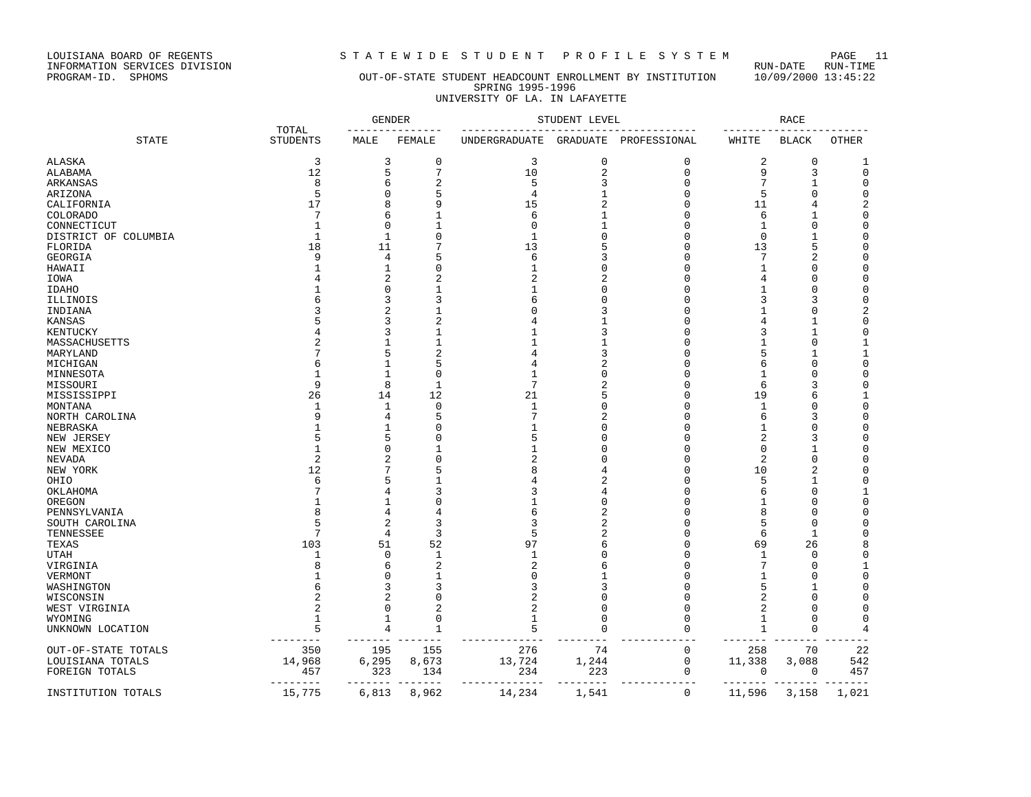LOUISIANA BOARD OF REGENTS STATEWIDE STUDENT PROFILE SYSTEM PAGE 11<br>INFORMATION SERVICES DIVISION INFORMATION SERVICES DIVISION RUN-DATE RUN-TIME

# OUT-OF-STATE STUDENT HEADCOUNT ENROLLMENT BY INSTITUTION SPRING 1995-1996 UNIVERSITY OF LA. IN LAFAYETTE

|                      |                          | <b>GENDER</b>  |                |                                     | STUDENT LEVEL  |              |                   | <b>RACE</b>    |              |
|----------------------|--------------------------|----------------|----------------|-------------------------------------|----------------|--------------|-------------------|----------------|--------------|
| <b>STATE</b>         | TOTAL<br><b>STUDENTS</b> | MALE           | FEMALE         | UNDERGRADUATE GRADUATE PROFESSIONAL |                | -----------  | WHITE             | <b>BLACK</b>   | <b>OTHER</b> |
| ALASKA               | 3                        | 3              | 0              | 3                                   | $\mathbf 0$    | $\mathbf 0$  | 2                 | 0              | 1            |
| ALABAMA              | 12                       | 5              | 7              | 10                                  | $\overline{a}$ | $\mathbf 0$  | 9                 | 3              | $\mathbf 0$  |
| ARKANSAS             | 8                        | 6              | $\overline{2}$ | 5                                   | 3              | $\Omega$     | 7                 | $\mathbf{1}$   | $\mathbf 0$  |
| ARIZONA              | 5                        | $\Omega$       | 5              | $\overline{4}$                      |                | $\Omega$     | 5                 | 0              | $\mathbf 0$  |
| CALIFORNIA           | 17                       | я              | 9              | 15                                  |                | $\cap$       | 11                | 4              | 2            |
| COLORADO             | 7                        | 6              | 1              | 6                                   |                | $\Omega$     | 6                 | 1              | $\mathbf 0$  |
| CONNECTICUT          | $\overline{1}$           | $\Omega$       | $\mathbf{1}$   | $\Omega$                            |                | $\Omega$     | $\mathbf{1}$      | 0              | $\mathbf 0$  |
| DISTRICT OF COLUMBIA | -1                       | $\mathbf{1}$   | $\Omega$       | $\mathbf{1}$                        |                | $\cap$       | $\Omega$          | 1              | 0            |
| FLORIDA              | 18                       | 11             | 7              | 13                                  |                | $\Omega$     | 13                | 5              | 0            |
| GEORGIA              | 9                        | 4              | 5              | 6                                   |                | $\Omega$     | 7                 | $\overline{a}$ | $\mathbf 0$  |
|                      |                          | -1             | $\Omega$       | 1                                   |                | $\Omega$     | -1                | 0              | 0            |
| HAWAII               |                          | 2              | $\overline{c}$ | $\overline{c}$                      |                | $\Omega$     | 4                 | 0              | $\mathbf 0$  |
| IOWA                 |                          | U              |                | 1                                   |                | $\Omega$     |                   | $\mathbf 0$    | 0            |
| IDAHO                |                          |                | 1              |                                     |                | $\Omega$     | 1                 |                |              |
| ILLINOIS             |                          | 3              | 3              | 6                                   |                |              | 3                 | 3              | $\mathbf 0$  |
| INDIANA              |                          | 2              | 1              |                                     |                | O            |                   | 0              | 2            |
| KANSAS               |                          | 3              |                |                                     |                | ∩            | 4                 | 1              | 0            |
| KENTUCKY             |                          | 3              | 1              |                                     |                | O            | 3                 | 1              | 0            |
| MASSACHUSETTS        |                          |                | 1              |                                     |                |              | -1                | 0              | 1            |
| MARYLAND             |                          | 5              | 2              |                                     |                | ∩            | 5                 | $\mathbf{1}$   | 1            |
| MICHIGAN             |                          | -1             | 5              |                                     |                |              | 6                 | $\Omega$       | 0            |
| MINNESOTA            |                          | -1             | 0              |                                     |                | $\Omega$     | 1                 | $\Omega$       | 0            |
| MISSOURI             | 9                        | 8              | 1              | 7                                   |                | $\Omega$     | 6                 | 3              | 0            |
| MISSISSIPPI          | 26                       | 14             | 12             | 21                                  |                | $\Omega$     | 19                | 6              | 1            |
| MONTANA              | $\mathbf{1}$             | -1             | $\Omega$       | 1                                   |                | ∩            | -1                | <sup>0</sup>   | $\Omega$     |
| NORTH CAROLINA       |                          | 4              | 5              | 7                                   |                | $\cap$       | 6                 | 3              | $\mathbf 0$  |
| NEBRASKA             |                          |                | $\Omega$       |                                     |                | $\cap$       | 1                 | $\Omega$       | $\mathbf 0$  |
| NEW JERSEY           |                          | 5              | U              | 5                                   |                | $\cap$       | 2                 | 3              | $\Omega$     |
| NEW MEXICO           | $\mathbf{1}$             | $\Omega$       | 1              |                                     |                | $\Omega$     | $\Omega$          | $\mathbf{1}$   | $\mathbf 0$  |
| NEVADA               | $\mathfrak{D}$           | 2              | $\Omega$       | 2                                   |                | $\cap$       | $\overline{2}$    | $\mathbf 0$    | $\mathbf 0$  |
| NEW YORK             | 12                       |                | 5              |                                     |                | $\cap$       | 10                | $\overline{a}$ | $\mathbf 0$  |
| OHIO                 | 6                        |                | $\mathbf{1}$   |                                     |                | ∩            | 5                 | 1              | $\mathbf 0$  |
| OKLAHOMA             |                          |                | 3              | ς                                   |                | ∩            | 6                 | $\Omega$       | 1            |
| OREGON               |                          |                | $\Omega$       |                                     |                | $\sqrt{ }$   | -1                | $\Omega$       | $\mathbf 0$  |
| PENNSYLVANIA         | Я                        | 4              | 4              | 6                                   |                | ∩            | 8                 | $\Omega$       | 0            |
| SOUTH CAROLINA       |                          | $\overline{2}$ | 3              | 3                                   |                | ∩            | 5                 | $\Omega$       | $\mathbf 0$  |
| TENNESSEE            |                          | 4              | 3              | 5                                   |                | $\Omega$     | 6                 | 1              | $\mathbf 0$  |
| TEXAS                | 103                      | 51             | 52             | 97                                  |                | $\Omega$     | 69                | 26             | 8            |
| UTAH                 | 1                        | $\Omega$       | 1              | -1                                  |                | $\Omega$     | 1                 | $\Omega$       | 0            |
| VIRGINIA             |                          | 6              | 2              | $\overline{c}$                      |                | O            | 7                 | 0              | 1            |
| VERMONT              |                          |                | 1              | $\Omega$                            |                |              | 1                 | $\Omega$       | $\mathbf 0$  |
| WASHINGTON           |                          | 3              |                | 3                                   |                | ∩            | 5                 | $\mathbf{1}$   | 0            |
| WISCONSIN            |                          | 2              | 0              | $\overline{c}$                      | n              | $\Omega$     | $\overline{2}$    | $\Omega$       | 0            |
| WEST VIRGINIA        |                          | $\Omega$       | 2              | 2                                   |                | $\Omega$     | 2                 | $\Omega$       | $\Omega$     |
| WYOMING              | 1                        | 1              | $\mathbf 0$    |                                     | <sup>0</sup>   | $\Omega$     | 1                 | 0              | 0            |
| UNKNOWN LOCATION     | 5                        | 4              | 1              | 5                                   | 0              | $\Omega$     | 1                 | 0              | 4            |
|                      | $-- - - - - - -$         |                |                |                                     |                |              |                   |                |              |
| OUT-OF-STATE TOTALS  | 350                      | 195            | 155            | 276                                 | 74             | $\mathbf 0$  | 258               | 70             | 22           |
| LOUISIANA TOTALS     | 14,968                   | 6,295          | 8,673          | 13,724                              | 1,244          | 0            | 11,338            | 3,088          | 542          |
| FOREIGN TOTALS       | 457                      | 323            | 134            | 234                                 | 223            | 0            | 0                 | 0              | 457          |
|                      | $- - - - - - - - -$      | --------       |                | -------------                       | _________      | ------------ | $- - - - - - - -$ |                | ----         |
| INSTITUTION TOTALS   | 15,775                   | 6,813          | 8,962          | 14,234                              | 1,541          | $\mathbf{0}$ | 11,596            | 3,158          | 1,021        |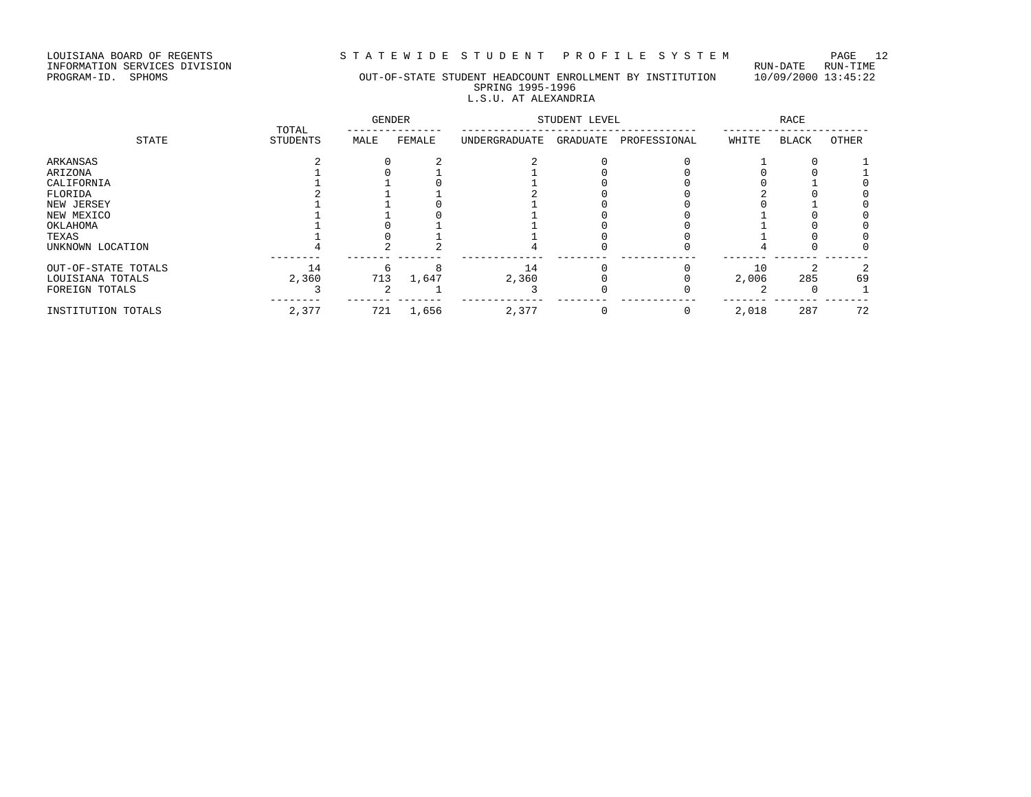LOUISIANA BOARD OF REGENTS STRITE WIDE STUDENT PROFILE SYSTEM PAGE 12<br>INFORMATION SERVICES DIVISION

LOUISIANA BOARD OF REGENTS<br>INFORMATION SERVICES DIVISION<br>PROGRAM-ID. SPHOMS

### PROGRAM-ID. SPHOMS OUT-OF-STATE STUDENT HEADCOUNT ENROLLMENT BY INSTITUTION 10/09/2000 13:45:22 SPRING 1995-1996 L.S.U. AT ALEXANDRIA

| STATE               | TOTAL           | <b>GENDER</b> |        | STUDENT LEVEL |          | RACE         |       |       |       |
|---------------------|-----------------|---------------|--------|---------------|----------|--------------|-------|-------|-------|
|                     | <b>STUDENTS</b> | MALE          | FEMALE | UNDERGRADUATE | GRADUATE | PROFESSIONAL | WHITE | BLACK | OTHER |
| ARKANSAS            |                 |               |        |               |          |              |       |       |       |
| ARIZONA             |                 |               |        |               |          |              |       |       |       |
| CALIFORNIA          |                 |               |        |               |          |              |       |       |       |
| FLORIDA             |                 |               |        |               |          |              |       |       |       |
| NEW JERSEY          |                 |               |        |               |          |              |       |       |       |
| NEW MEXICO          |                 |               |        |               |          |              |       |       |       |
| OKLAHOMA            |                 |               |        |               |          |              |       |       |       |
| TEXAS               |                 |               |        |               |          |              |       |       |       |
| UNKNOWN LOCATION    |                 |               |        |               |          |              |       |       |       |
| OUT-OF-STATE TOTALS | 14              |               |        | 14            |          |              | 10    |       |       |
| LOUISIANA TOTALS    | 2,360           | 713           | 1,647  | 2,360         |          |              | 2,006 | 285   | 69    |
| FOREIGN TOTALS      |                 |               |        |               |          |              |       |       |       |
| INSTITUTION TOTALS  | 2,377           | 721           | 1,656  | 2,377         |          |              | 2,018 | 287   | 72    |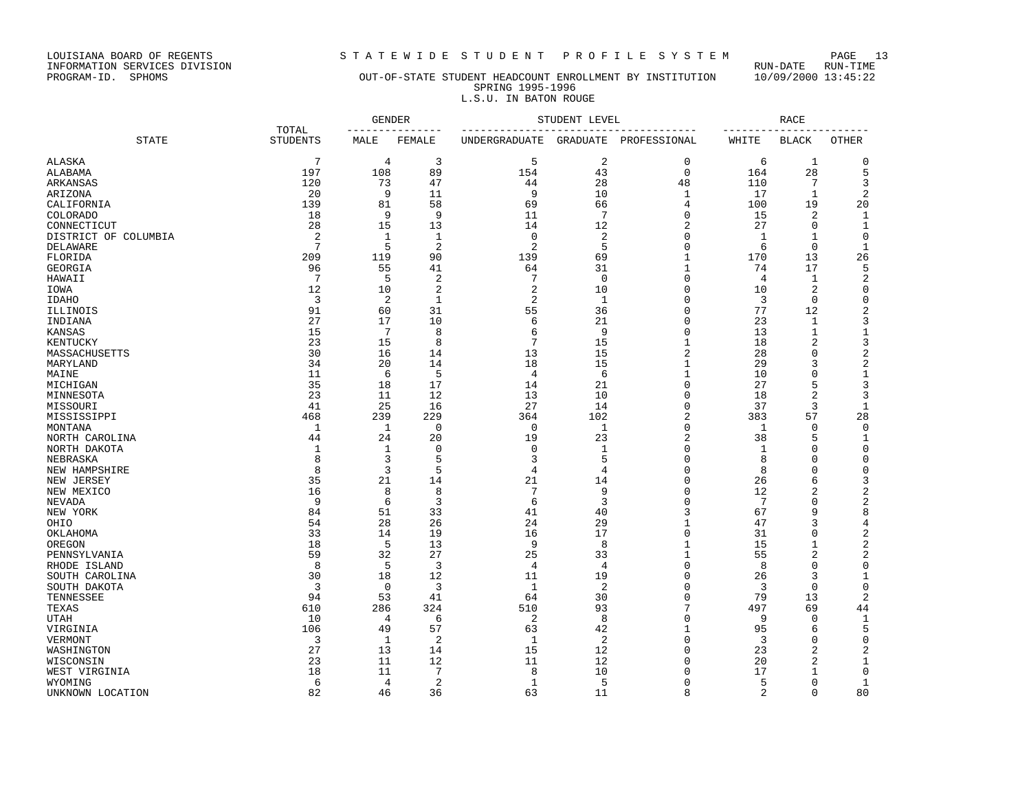LOUISIANA BOARD OF REGENTS STRITEWIDE STUDENT PROFILE SYSTEM PAGE 13<br>INFORMATION SERVICES DIVISION LOUISIANA BOARD OF REGENTS<br>INFORMATION SERVICES DIVISION<br>PROGRAM-ID. SPHOMS

# OUT-OF-STATE STUDENT HEADCOUNT ENROLLMENT BY INSTITUTION 10/09/2000 13:45:22 SPRING 1995-1996 L.S.U. IN BATON ROUGE

|                      |                          | <b>GENDER</b><br>--------------- |                | STUDENT LEVEL<br>_________________________ |                |                | <b>RACE</b><br>-------- |                |                  |
|----------------------|--------------------------|----------------------------------|----------------|--------------------------------------------|----------------|----------------|-------------------------|----------------|------------------|
| <b>STATE</b>         | TOTAL<br><b>STUDENTS</b> | MALE                             | FEMALE         | <b>UNDERGRADUATE</b>                       | GRADUATE       | PROFESSIONAL   | WHITE                   | <b>BLACK</b>   | <b>OTHER</b>     |
| <b>ALASKA</b>        | 7                        | 4                                | 3              | 5                                          | 2              | $\mathbf{0}$   | 6                       | 1              | 0                |
| ALABAMA              | 197                      | 108                              | 89             | 154                                        | 43             | $\Omega$       | 164                     | 28             | 5                |
| ARKANSAS             | 120                      | 73                               | 47             | 44                                         | 28             | 48             | 110                     | 7              | 3                |
| ARIZONA              | 20                       | 9                                | 11             | 9                                          | 10             | 1              | 17                      | 1              | $\overline{2}$   |
| CALIFORNIA           | 139                      | 81                               | 58             | 69                                         | 66             | $\overline{4}$ | 100                     | 19             | 20               |
| COLORADO             | 18                       | 9                                | 9              | 11                                         | $\overline{7}$ | $\Omega$       | 15                      | 2              | 1                |
| CONNECTICUT          | 28                       | 15                               | 13             | 14                                         | 12             | $\overline{2}$ | 27                      | 0              | 1                |
| DISTRICT OF COLUMBIA | $\overline{2}$           | $\mathbf{1}$                     | $\mathbf{1}$   | $\mathbf 0$                                | $\overline{2}$ | $\Omega$       | 1                       | 1              | $\mathbf 0$      |
| DELAWARE             | 7                        | 5                                | $\overline{2}$ | $\overline{2}$                             | 5              | $\mathbf{0}$   | 6                       | $\mathbf 0$    | 1                |
| FLORIDA              | 209                      | 119                              | 90             | 139                                        | 69             | 1              | 170                     | 13             | 26               |
| GEORGIA              | 96                       | 55                               | 41             | 64                                         | 31             | 1              | 74                      | 17             | 5                |
| HAWAII               | 7                        | 5                                | 2              | 7                                          | $\mathbf 0$    | $\Omega$       | 4                       | 1              | $\overline{c}$   |
| IOWA                 | 12                       | 10                               | $\overline{2}$ | $\overline{2}$                             | 10             | $\Omega$       | 10                      | 2              | 0                |
| <b>IDAHO</b>         | 3                        | 2                                | $\mathbf{1}$   | $\overline{2}$                             | 1              | $\Omega$       | 3                       | $\mathbf 0$    | 0                |
| ILLINOIS             | 91                       | 60                               | 31             | 55                                         | 36             | $\Omega$       | 77                      | 12             | $\boldsymbol{2}$ |
| INDIANA              | 27                       | 17                               | 10             | 6                                          | 21             | $\Omega$       | 23                      | 1              | 3                |
| KANSAS               | 15                       | 7                                | 8              | 6                                          | 9              | $\Omega$       | 13                      | $\mathbf 1$    | 1                |
| KENTUCKY             | 23                       | 15                               | 8              | $\overline{7}$                             | 15             | 1              | 18                      | 2              | 3                |
| MASSACHUSETTS        | 30                       | 16                               | 14             | 13                                         | 15             | $\overline{2}$ | 28                      | $\Omega$       | 2                |
| MARYLAND             | 34                       | 20                               | 14             | 18                                         | 15             | 1              | 29                      | 3              | $\mathbf 2$      |
| MAINE                | 11                       | 6                                | 5              | 4                                          | 6              | 1              | 10                      | $\Omega$       | 1                |
| MICHIGAN             | 35                       | 18                               | 17             | 14                                         | 21             | $\mathbf{0}$   | 27                      | 5              | 3                |
| MINNESOTA            | 23                       | 11                               | 12             | 13                                         | 10             | 0              | 18                      | 2              | 3                |
| MISSOURI             | 41                       | 25                               | 16             | 27                                         | 14             | $\Omega$       | 37                      | 3              | 1                |
| MISSISSIPPI          | 468                      | 239                              | 229            | 364                                        | 102            | $\overline{2}$ | 383                     | 57             | 28               |
| MONTANA              | $\mathbf{1}$             | 1                                | $\Omega$       | $\mathbf 0$                                | $\mathbf{1}$   | $\Omega$       | 1                       | $\Omega$       | $\mathbf 0$      |
| NORTH CAROLINA       | 44                       | 24                               | 20             | 19                                         | 23             | $\overline{2}$ | 38                      | 5              | 1                |
| NORTH DAKOTA         | $\mathbf{1}$             | 1                                | $\Omega$       | $\mathbf 0$                                | $\mathbf{1}$   | $\Omega$       | 1                       | $\Omega$       | $\Omega$         |
|                      | 8                        | 3                                | 5              | 3                                          | 5              | $\Omega$       | 8                       | $\Omega$       | $\mathbf 0$      |
| NEBRASKA             | 8                        | 3                                | 5              | $\overline{4}$                             | $\overline{4}$ | $\Omega$       | 8                       | $\Omega$       | $\Omega$         |
| NEW HAMPSHIRE        | 35                       | 21                               |                | 21                                         |                | $\Omega$       | 26                      | 6              | 3                |
| NEW JERSEY           |                          |                                  | 14             | $\overline{7}$                             | 14             | $\Omega$       |                         | $\overline{c}$ |                  |
| NEW MEXICO           | 16                       | 8                                | 8              |                                            | 9              |                | 12                      |                | 2                |
| NEVADA               | 9                        | 6                                | 3              | 6                                          | 3              | $\Omega$       | $7\phantom{.0}$         | $\Omega$<br>9  | $\overline{c}$   |
| NEW YORK             | 84                       | 51                               | 33             | 41                                         | 40             | 3              | 67                      |                | 8                |
| OHIO                 | 54                       | 28                               | 26             | 24                                         | 29             | $\mathbf{1}$   | 47                      | 3              | 4                |
| OKLAHOMA             | 33                       | 14                               | 19             | 16                                         | 17             | $\mathbf 0$    | 31                      | $\Omega$       | $\overline{c}$   |
| OREGON               | 18                       | 5                                | 13             | 9                                          | 8              | 1              | 15                      | 1              | 2                |
| PENNSYLVANIA         | 59                       | 32                               | 27             | 25                                         | 33             | 1              | 55                      | 2              | $\mathbf 2$      |
| RHODE ISLAND         | 8                        | 5                                | 3              | $\overline{4}$                             | $\overline{4}$ | $\Omega$       | 8                       | 0              | 0                |
| SOUTH CAROLINA       | 30                       | 18                               | 12             | 11                                         | 19             | $\mathbf 0$    | 26                      | 3              | 1                |
| SOUTH DAKOTA         | 3                        | $\mathbf 0$                      | 3              | 1                                          | 2              | $\Omega$       | 3                       | $\Omega$       | 0                |
| TENNESSEE            | 94                       | 53                               | 41             | 64                                         | 30             | $\mathbf{0}$   | 79                      | 13             | $\mathbf 2$      |
| TEXAS                | 610                      | 286                              | 324            | 510                                        | 93             | 7              | 497                     | 69             | 44               |
| UTAH                 | 10                       | 4                                | 6              | $\overline{c}$                             | 8              | $\mathbf{0}$   | 9                       | 0              | 1                |
| VIRGINIA             | 106                      | 49                               | 57             | 63                                         | 42             | 1              | 95                      | 6              | 5                |
| VERMONT              | 3                        | 1                                | 2              | 1                                          | 2              | $\Omega$       | 3                       | $\Omega$       | 0                |
| WASHINGTON           | 27                       | 13                               | 14             | 15                                         | 12             | $\Omega$       | 23                      | 2              | 2                |
| WISCONSIN            | 23                       | 11                               | 12             | 11                                         | 12             | $\Omega$       | 20                      | 2              | 1                |
| WEST VIRGINIA        | 18                       | 11                               | 7              | 8                                          | 10             | $\Omega$       | 17                      |                | 0                |
| WYOMING              | 6                        | 4                                | 2              | 1                                          | 5              | $\Omega$       | 5                       | 0              | 1                |
| UNKNOWN LOCATION     | 82                       | 46                               | 36             | 63                                         | 11             | $\mathsf{R}$   | $\overline{a}$          | $\Omega$       | 80               |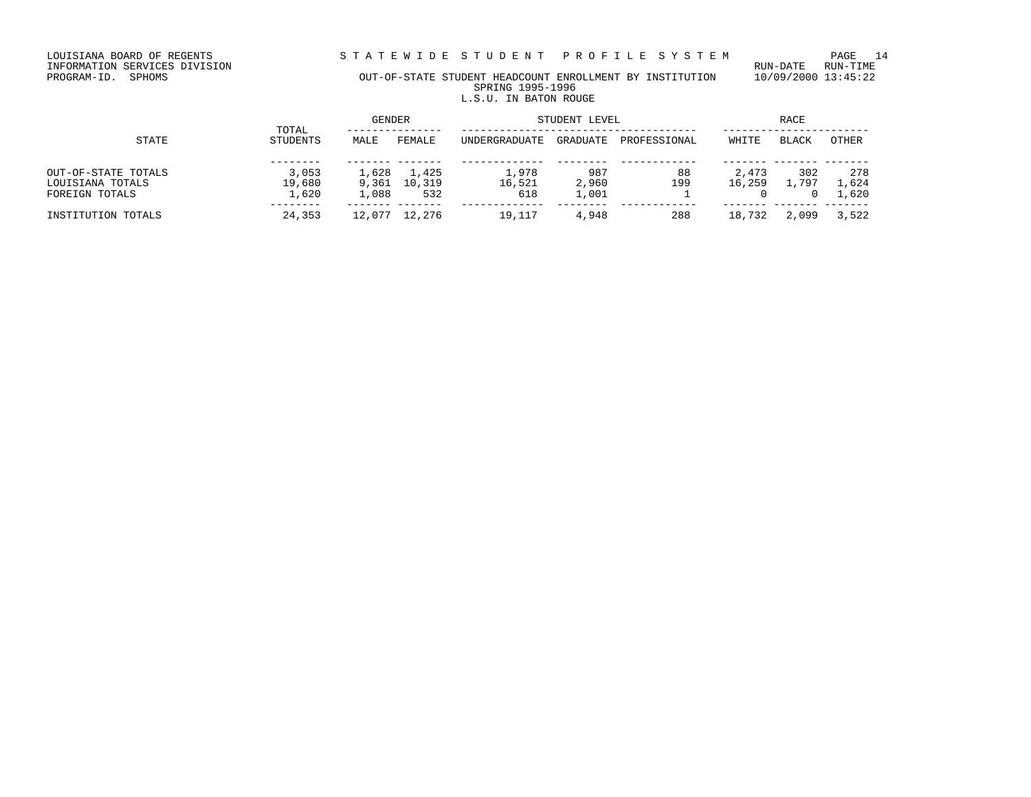LOUISIANA BOARD OF REGENTS STRITEWIDE STUDENT PROFILE SYSTEM PAGE 14<br>INFORMATION SERVICES DIVISION

LOUISIANA BOARD OF REGENTS<br>INFORMATION SERVICES DIVISION<br>PROGRAM-ID. SPHOMS

# OUT-OF-STATE STUDENT HEADCOUNT ENROLLMENT BY INSTITUTION 10/09/2000 13:45:22 SPRING 1995-1996 L.S.U. IN BATON ROUGE

|                                                           |                          | <b>GENDER</b>           |                        | STUDENT LEVEL          | RACE                  |              |                 |              |                              |
|-----------------------------------------------------------|--------------------------|-------------------------|------------------------|------------------------|-----------------------|--------------|-----------------|--------------|------------------------------|
| STATE                                                     | TOTAL<br>STUDENTS        | MALE                    | FEMALE                 | <b>UNDERGRADUATE</b>   | <b>GRADUATE</b>       | PROFESSIONAL | WHITE           | BLACK        | OTHER                        |
| OUT-OF-STATE TOTALS<br>LOUISIANA TOTALS<br>FOREIGN TOTALS | 3,053<br>19,680<br>1,620 | 1,628<br>9,361<br>.,088 | 1,425<br>10,319<br>532 | 1,978<br>16,521<br>618 | 987<br>2,960<br>1,001 | 88<br>199    | 2,473<br>16,259 | 302<br>. 797 | 278<br>1,624<br>$\perp$ ,620 |
| INSTITUTION TOTALS                                        | 24,353                   | 12,077                  | 12,276                 | 19,117                 | 4,948                 | 288          | 18,732          | 2,099        | 3,522                        |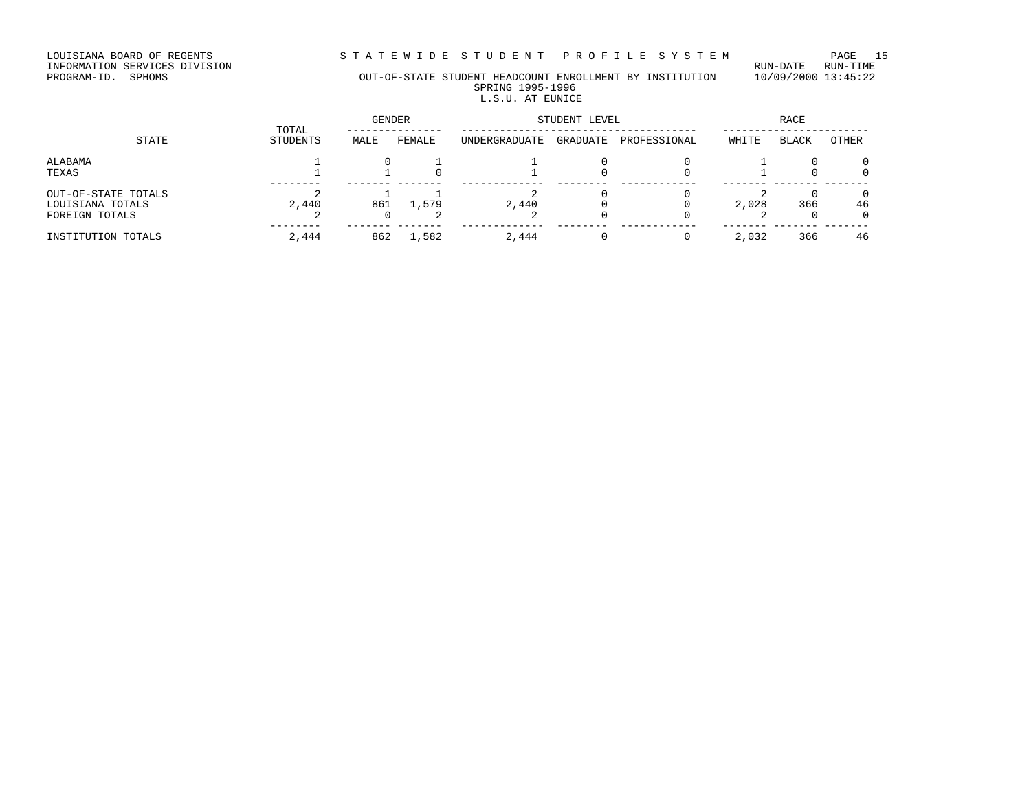LOUISIANA BOARD OF REGENTS S T A T E W I D E S T U D E N T P R O F I L E S Y S T E M PAGE 15

INFORMATION SERVICES DIVISION RUN-DATE RUN-TIME

# PROGRAM-ID. SPHOMS OUT-OF-STATE STUDENT HEADCOUNT ENROLLMENT BY INSTITUTION 10/09/2000 13:45:22 SPRING 1995-1996

# L.S.U. AT EUNICE

GENDER STUDENT LEVEL RACE TOTAL --------------- ------------------------------------- ----------------------- STATE STUDENTS MALE FEMALE UNDERGRADUATE GRADUATE PROFESSIONAL WHITE BLACK OTHER ALABAMA  $1$  0  $1$  1 0 0  $1$ TEXAS 1 1 0 1 0 0 1 0 0 -------- ------- ------- ------------- -------- ------------ ------- ------- -------  $\texttt{OUT}-\texttt{OF}-\texttt{STATE}$  TOTALS 2 1 1 2 0 0 2 0 0 LOUISIANA TOTALS 2,440 861 1,579 2,440 0 0 2,028 366 46 FOREIGN TOTALS 2 0 2 2 0 0 2 0 0 -------- ------- ------- ------------- -------- ------------ ------- ------- ------- INSTITUTION TOTALS 2,444 862 1,582 2,444 0 0 2,032 366 46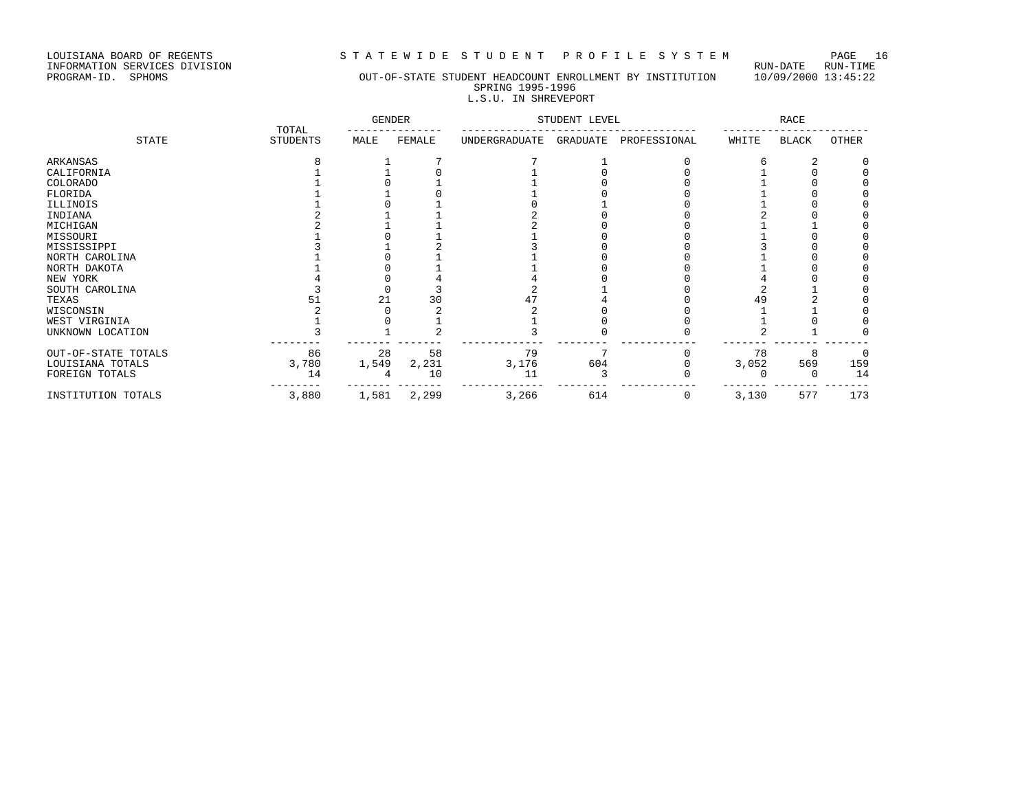LOUISIANA BOARD OF REGENTS STRITEWIDE STUDENT PROFILE SYSTEM PAGE 16<br>INFORMATION SERVICES DIVISION LOUISIANA BOARD OF REGENTS<br>INFORMATION SERVICES DIVISION<br>PROGRAM-ID. SPHOMS

# OUT-OF-STATE STUDENT HEADCOUNT ENROLLMENT BY INSTITUTION 10/09/2000 13:45:22 SPRING 1995-1996 L.S.U. IN SHREVEPORT

|                     | TOTAL           | <b>GENDER</b> |        | STUDENT LEVEL |          |              | RACE  |       |       |
|---------------------|-----------------|---------------|--------|---------------|----------|--------------|-------|-------|-------|
| <b>STATE</b>        | <b>STUDENTS</b> | MALE          | FEMALE | UNDERGRADUATE | GRADUATE | PROFESSIONAL | WHITE | BLACK | OTHER |
| ARKANSAS            |                 |               |        |               |          |              |       |       |       |
| CALIFORNIA          |                 |               |        |               |          |              |       |       |       |
| COLORADO            |                 |               |        |               |          |              |       |       |       |
| FLORIDA             |                 |               |        |               |          |              |       |       |       |
| ILLINOIS            |                 |               |        |               |          |              |       |       |       |
| INDIANA             |                 |               |        |               |          |              |       |       |       |
| MICHIGAN            |                 |               |        |               |          |              |       |       |       |
| MISSOURI            |                 |               |        |               |          |              |       |       |       |
| MISSISSIPPI         |                 |               |        |               |          |              |       |       |       |
| NORTH CAROLINA      |                 |               |        |               |          |              |       |       |       |
| NORTH DAKOTA        |                 |               |        |               |          |              |       |       |       |
| NEW YORK            |                 |               |        |               |          |              |       |       |       |
| SOUTH CAROLINA      |                 |               |        |               |          |              |       |       |       |
| TEXAS               | 51              | 21            | 30     |               |          |              | 49    |       |       |
| WISCONSIN           |                 |               |        |               |          |              |       |       |       |
| WEST VIRGINIA       |                 |               |        |               |          |              |       |       |       |
| UNKNOWN LOCATION    |                 |               |        |               |          |              |       |       |       |
| OUT-OF-STATE TOTALS | 86              | 28            | 58     | 79            | 7        |              | 78    | 8     |       |
| LOUISIANA TOTALS    | 3,780           | 1,549         | 2,231  | 3,176         | 604      |              | 3,052 | 569   | 159   |
| FOREIGN TOTALS      | 14              |               | 10     | 11            |          |              |       |       | 14    |
| INSTITUTION TOTALS  | 3,880           | 1,581         | 2,299  | 3,266         | 614      | 0            | 3,130 | 577   | 173   |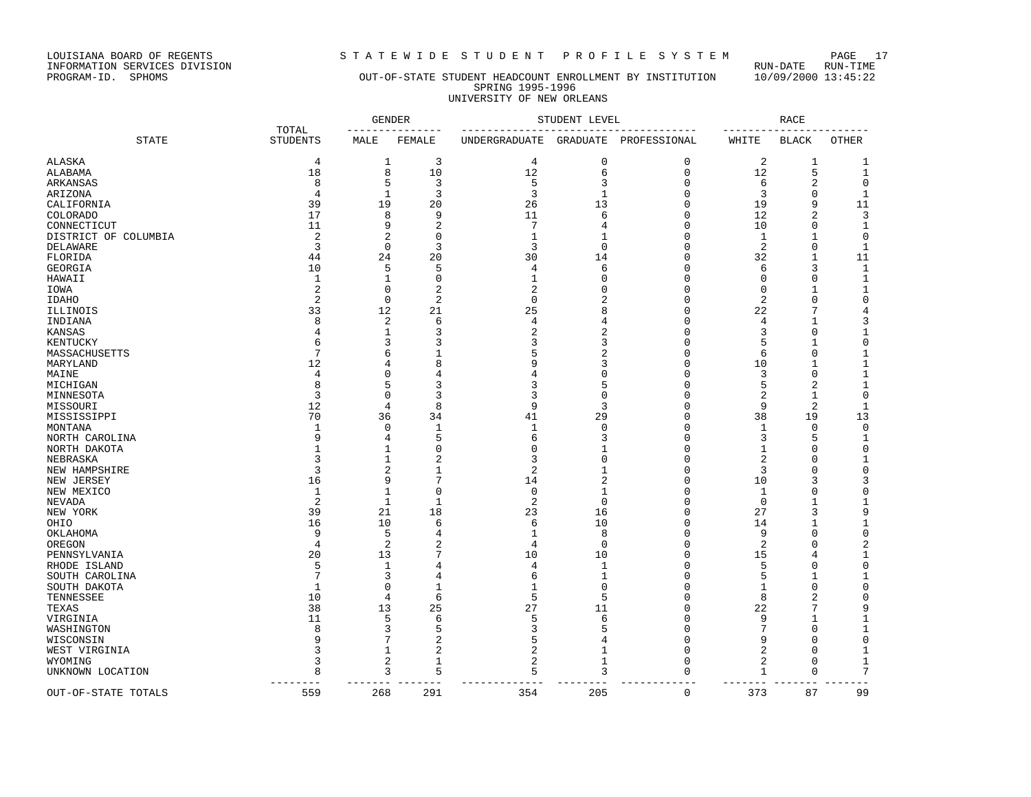LOUISIANA BOARD OF REGENTS STRITE WIDE STUDENT PROFILE SYSTEM PAGE 17<br>INFORMATION SERVICES DIVISION LOUISIANA BOARD OF REGENTS<br>INFORMATION SERVICES DIVISION<br>PROGRAM-ID. SPHOMS

# OUT-OF-STATE STUDENT HEADCOUNT ENROLLMENT BY INSTITUTION 10/09/2000 13:45:22 SPRING 1995-1996 UNIVERSITY OF NEW ORLEANS

| TOTAL                   |                     |                | <b>GENDER</b>  | STUDENT LEVEL  |                |                      | <b>RACE</b>    |                |                   |
|-------------------------|---------------------|----------------|----------------|----------------|----------------|----------------------|----------------|----------------|-------------------|
| <b>STATE</b>            | <b>STUDENTS</b>     | MALE           | FEMALE         | UNDERGRADUATE  | GRADUATE       | PROFESSIONAL         | WHITE          | <b>BLACK</b>   | <b>OTHER</b>      |
| ALASKA                  | 4                   | 1              | 3              | 4              | $\mathbf 0$    | 0                    | $\overline{c}$ | 1              | 1                 |
| ALABAMA                 | 18                  | 8              | 10             | 12             | 6              | $\mathbf 0$          | 12             | 5              | $\mathbf{1}$      |
| ARKANSAS                | 8                   | 5              | 3              | 5              | 3              | $\mathbf 0$          | 6              | $\overline{2}$ | $\mathbf 0$       |
| ARIZONA                 | 4                   | $\mathbf{1}$   | 3              | 3              | $\mathbf{1}$   | $\mathbf 0$          | 3              | 0              | $\mathbf{1}$      |
| CALIFORNIA              | 39                  | 19             | 20             | 26             | 13             | $\Omega$             | 19             | 9              | 11                |
| COLORADO                | 17                  | 8              | 9              | 11             | 6              | $\Omega$             | 12             | $\overline{2}$ | 3                 |
| CONNECTICUT             | 11                  | 9              | $\overline{2}$ | 7              |                | $\Omega$             | 10             | 0              | $\mathbf{1}$      |
| DISTRICT OF COLUMBIA    | $\overline{2}$      | $\overline{2}$ | $\Omega$       | 1              | -1             | $\Omega$             | 1              | 1              | 0                 |
| DELAWARE                | 3                   | 0              | 3              | 3              | $\Omega$       | $\Omega$             | 2              | $\mathbf 0$    | 1                 |
| FLORIDA                 | 44                  | 24             | 20             | 30             | 14             | $\mathbf 0$          | 32             | 1              | 11                |
| GEORGIA                 | 10                  | 5              | 5              | 4              | 6              | $\Omega$             | 6              | 3              | $\mathbf{1}$      |
| HAWAII                  | $\mathbf{1}$        | 1              | $\Omega$       | 1              | $\cap$         | $\Omega$             | 0              | $\mathbf 0$    | $\mathbf{1}$      |
| IOWA                    | $\overline{c}$      | $\mathbf 0$    | $\overline{2}$ | 2              | $\Omega$       | $\Omega$             | $\mathbf 0$    | $\mathbf{1}$   | $\mathbf{1}$      |
| <b>IDAHO</b>            | $\overline{2}$      | $\mathbf 0$    | $\overline{2}$ | $\Omega$       | 2              | $\Omega$             | 2              | $\mathbf 0$    | $\mathbf 0$       |
| ILLINOIS                | 33                  | 12             | 21             | 25             |                | $\Omega$             | 22             | 7              | $\overline{4}$    |
| INDIANA                 | 8                   | $\overline{2}$ | 6              | 4              | 4              | $\Omega$             | 4              | 1              | 3                 |
| KANSAS                  | 4                   | 1              | 3              | $\overline{c}$ | 2              | $\Omega$             | 3              | $\mathbf 0$    | 1                 |
| KENTUCKY                | 6                   | 3              | 3              | 3              | 3              | $\Omega$             | 5              | $\mathbf{1}$   | $\mathsf 0$       |
| MASSACHUSETTS           | 7                   | 6              |                | 5              |                | $\Omega$             | 6              | $\mathbf 0$    | 1                 |
| MARYLAND                | 12                  | 4              | 8              | q              | 3              | $\Omega$             | 10             | 1              | $\mathbf{1}$      |
| MAINE                   | 4                   | 0              | 4              |                | U              | $\Omega$             | 3              | 0              | 1                 |
| MICHIGAN                | 8                   | 5              | З              | 3              |                | $\Omega$             | 5              | $\overline{2}$ | 1                 |
| MINNESOTA               | 3                   | 0              | 3              | 3              | $\Omega$       | $\Omega$             | 2              | 1              | 0                 |
|                         | 12                  | $\overline{4}$ | 8              | 9              | 3              | $\Omega$             | 9              | 2              | $\mathbf{1}$      |
| MISSOURI<br>MISSISSIPPI | 70                  | 36             | 34             | 41             | 29             | $\Omega$             | 38             | 19             | 13                |
| MONTANA                 | $\mathbf{1}$        | $\mathbf 0$    | $\mathbf{1}$   | $\mathbf{1}$   | $\Omega$       | $\Omega$             | $\mathbf{1}$   | $\mathbf 0$    | $\mathbf 0$       |
|                         | q                   | 4              | 5              | 6              | ζ              | $\Omega$             | 3              | 5              |                   |
| NORTH CAROLINA          | -1                  | $\mathbf{1}$   | $\Omega$       | $\Omega$       | $\mathbf{1}$   | $\Omega$             | $\mathbf 1$    | $\mathbf 0$    | 1<br>$\mathbf 0$  |
| NORTH DAKOTA            | ζ                   | 1              | 2              | 3              | $\Omega$       | $\Omega$             | 2              | $\Omega$       | $\mathbf{1}$      |
| NEBRASKA                | 3                   | $\overline{2}$ | $\mathbf{1}$   | $\overline{c}$ | $\mathbf{1}$   | $\Omega$             | 3              | $\mathbf 0$    | $\mathbf 0$       |
| NEW HAMPSHIRE           |                     | 9              | 7              |                | $\overline{a}$ | $\Omega$             |                | 3              |                   |
| NEW JERSEY              | 16                  |                | $\Omega$       | 14             |                |                      | 10             |                | 3                 |
| NEW MEXICO              | 1<br>$\overline{2}$ | 1              |                | 0              | 1<br>$\Omega$  | $\Omega$<br>$\Omega$ | 1              | $\mathbf 0$    | $\mathsf 0$       |
| NEVADA                  |                     | $\mathbf{1}$   | $\mathbf{1}$   | 2              |                | $\Omega$             | $\mathbf 0$    | 1<br>3         | $\mathbf{1}$<br>9 |
| NEW YORK                | 39                  | 21             | 18             | 23             | 16             |                      | 27             |                |                   |
| OHIO                    | 16                  | 10             | 6              | 6              | 10             | $\mathbf 0$          | 14             | $\mathbf{1}$   | $\mathbf{1}$      |
| OKLAHOMA                | 9                   | 5              | 4              | 1              | 8              | 0                    | 9              | 0              | $\mathsf 0$       |
| OREGON                  | 4                   | 2              | 2              | 4              | $\Omega$       | $\Omega$             | 2              | 0              | 2                 |
| PENNSYLVANIA            | 20                  | 13             | 7              | 10             | 10             | $\Omega$             | 15             | 4              | 1                 |
| RHODE ISLAND            | 5                   | $\mathbf{1}$   | 4              | 4              | $\mathbf{1}$   | $\Omega$             | 5              | $\Omega$       | $\mathbf 0$       |
| SOUTH CAROLINA          |                     | 3              | 4              | 6              | $\mathbf{1}$   | $\Omega$             | 5              | 1              | $\mathbf{1}$      |
| SOUTH DAKOTA            | $\mathbf{1}$        | $\Omega$       | 1              |                | $\Omega$       | $\Omega$             | 1              | $\mathbf 0$    | $\Omega$          |
| TENNESSEE               | 10                  | $\overline{4}$ | 6              | 5              | 5              | $\Omega$             | 8              | $\overline{2}$ | $\Omega$          |
| TEXAS                   | 38                  | 13             | 25             | 27             | 11             | $\Omega$             | 22             | 7              | 9                 |
| VIRGINIA                | 11                  | 5              | 6              | 5              | 6              | $\Omega$             | 9              | $\mathbf{1}$   | $\mathbf{1}$      |
| WASHINGTON              | 8                   | 3              | 5              | 3              |                | $\Omega$             | 7              | $\mathbf 0$    | 1                 |
| WISCONSIN               |                     | 7              | $\overline{a}$ | 5              | 4              | $\Omega$             | 9              | 0              | $\mathbf 0$       |
| WEST VIRGINIA           |                     | 1              | $\overline{2}$ | 2              | 1              | $\Omega$             | 2              | 0              | 1                 |
| WYOMING                 | 3                   | $\overline{2}$ | $\mathbf{1}$   | 2              | 1              | $\Omega$             | 2              | $\mathbf 0$    | $\mathbf{1}$      |
| UNKNOWN LOCATION        | 8                   | 3<br>$- - -$   | 5<br>---       | 5              | 3              | $\Omega$             | 1<br>$- - - -$ | 0<br>$ -$      | 7                 |
| OUT-OF-STATE TOTALS     | 559                 | 268            | 291            | 354            | 205            | $\mathbf 0$          | 373            | 87             | 99                |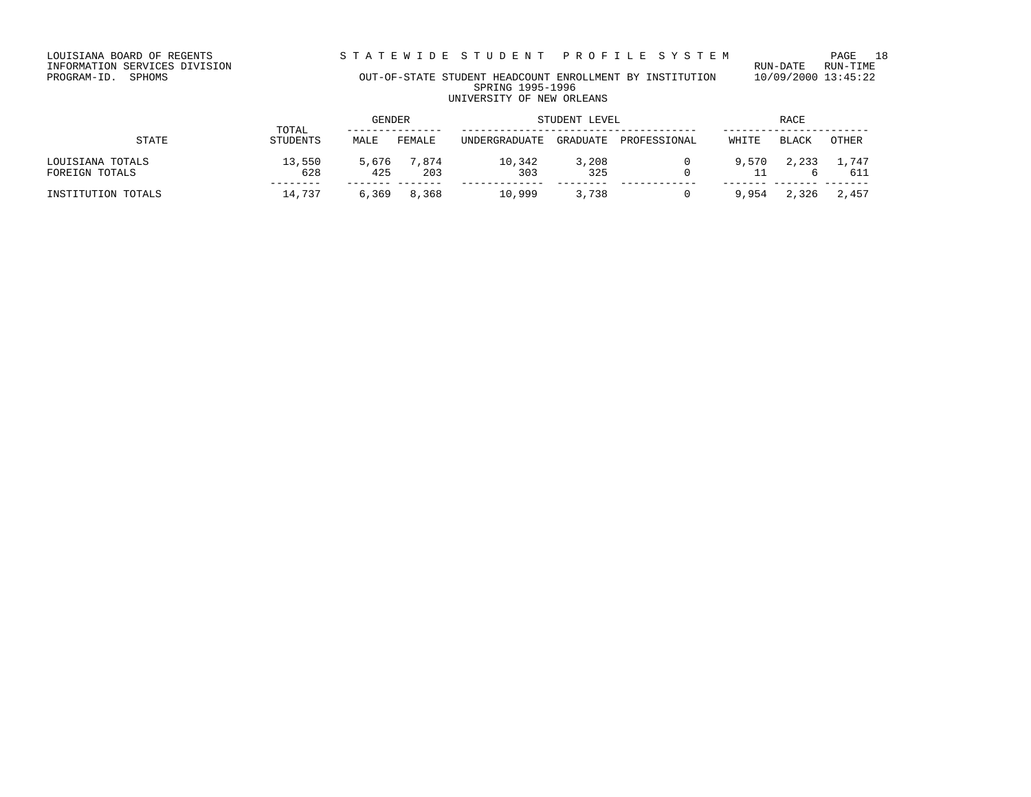LOUISIANA BOARD OF REGENTS STRITEWIDE STUDENT PROFILE SYSTEM PAGE 18<br>INFORMATION SERVICES DIVISION

LOUISIANA BOARD OF REGENTS<br>INFORMATION SERVICES DIVISION<br>PROGRAM-ID. SPHOMS

# OUT-OF-STATE STUDENT HEADCOUNT ENROLLMENT BY INSTITUTION 10/09/2000 13:45:22 SPRING 1995-1996 UNIVERSITY OF NEW ORLEANS

|                                    |                          | GENDER       |              | STUDENT LEVEL |              |              | RACE  |       |              |
|------------------------------------|--------------------------|--------------|--------------|---------------|--------------|--------------|-------|-------|--------------|
| STATE                              | TOTAL<br><b>STUDENTS</b> | MALE         | FEMALE       | UNDERGRADUATE | GRADUATE     | PROFESSIONAL | WHITE | BLACK | OTHER        |
| LOUISIANA TOTALS<br>FOREIGN TOTALS | 13,550<br>628            | 5,676<br>425 | 7.874<br>203 | 10,342<br>303 | 3,208<br>325 |              | 9,570 | 2,233 | 1,747<br>611 |
| INSTITUTION TOTALS                 | 14,737                   | 6,369        | 8,368        | 10,999        | 3,738        |              | 9,954 | 2,326 | 2,457        |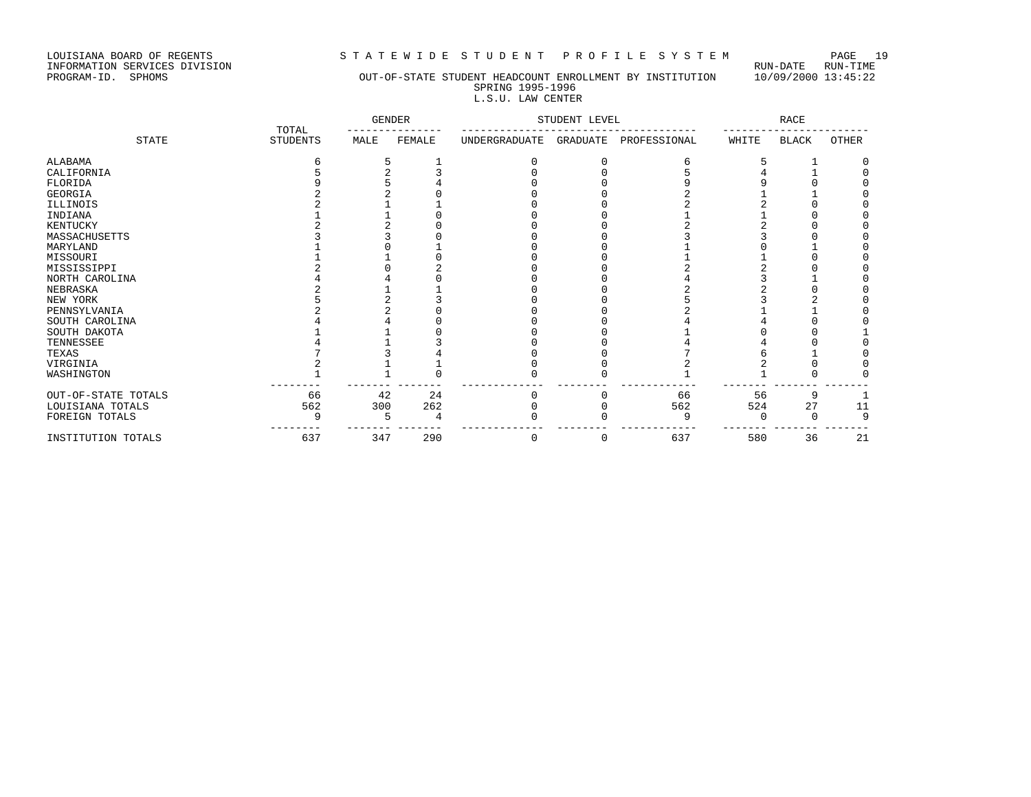LOUISIANA BOARD OF REGENTS S T A T E W I D E S T U D E N T P R O F I L E S Y S T E M PAGE 19

INFORMATION SERVICES DIVISION RUN-DATE RUN-TIME

# PROGRAM-ID. SPHOMS OUT-OF-STATE STUDENT HEADCOUNT ENROLLMENT BY INSTITUTION 10/09/2000 13:45:22 SPRING 1995-1996

 L.S.U. LAW CENTER GENDER STUDENT LEVEL SEERS AND RACE TOTAL --------------- ------------------------------------- ----------------------- STATE STUDENTS MALE FEMALE UNDERGRADUATE GRADUATE PROFESSIONAL WHITE BLACK OTHER

| ALABAMA             |     |     |     |   |   |     |     |    |    |
|---------------------|-----|-----|-----|---|---|-----|-----|----|----|
| CALIFORNIA          |     |     |     |   |   |     |     |    |    |
| FLORIDA             |     |     |     |   |   |     |     |    |    |
| GEORGIA             |     |     |     |   |   |     |     |    |    |
| ILLINOIS            |     |     |     |   |   |     |     |    |    |
| INDIANA             |     |     |     |   |   |     |     |    |    |
| KENTUCKY            |     |     |     |   |   |     |     |    |    |
| MASSACHUSETTS       |     |     |     |   |   |     |     |    |    |
| MARYLAND            |     |     |     |   |   |     |     |    |    |
| MISSOURI            |     |     |     |   |   |     |     |    |    |
| MISSISSIPPI         |     |     |     |   |   |     |     |    |    |
| NORTH CAROLINA      |     |     |     |   |   |     |     |    |    |
| NEBRASKA            |     |     |     |   |   |     |     |    |    |
| NEW YORK            |     |     |     |   |   |     |     |    |    |
| PENNSYLVANIA        |     |     |     |   |   |     |     |    |    |
| SOUTH CAROLINA      |     |     |     |   |   |     |     |    |    |
| SOUTH DAKOTA        |     |     |     |   |   |     |     |    |    |
| TENNESSEE           |     |     |     |   |   |     |     |    |    |
| TEXAS               |     |     |     |   |   |     |     |    |    |
| VIRGINIA            |     |     |     |   |   |     |     |    |    |
| WASHINGTON          |     |     |     |   |   |     |     |    |    |
| OUT-OF-STATE TOTALS | 66  | 42  | 24  |   |   | 66  | 56  | 9  |    |
| LOUISIANA TOTALS    | 562 | 300 | 262 |   |   | 562 | 524 | 27 | 11 |
| FOREIGN TOTALS      | 9   |     |     |   |   | Q   |     |    | 9  |
| INSTITUTION TOTALS  | 637 | 347 | 290 | 0 | 0 | 637 | 580 | 36 | 21 |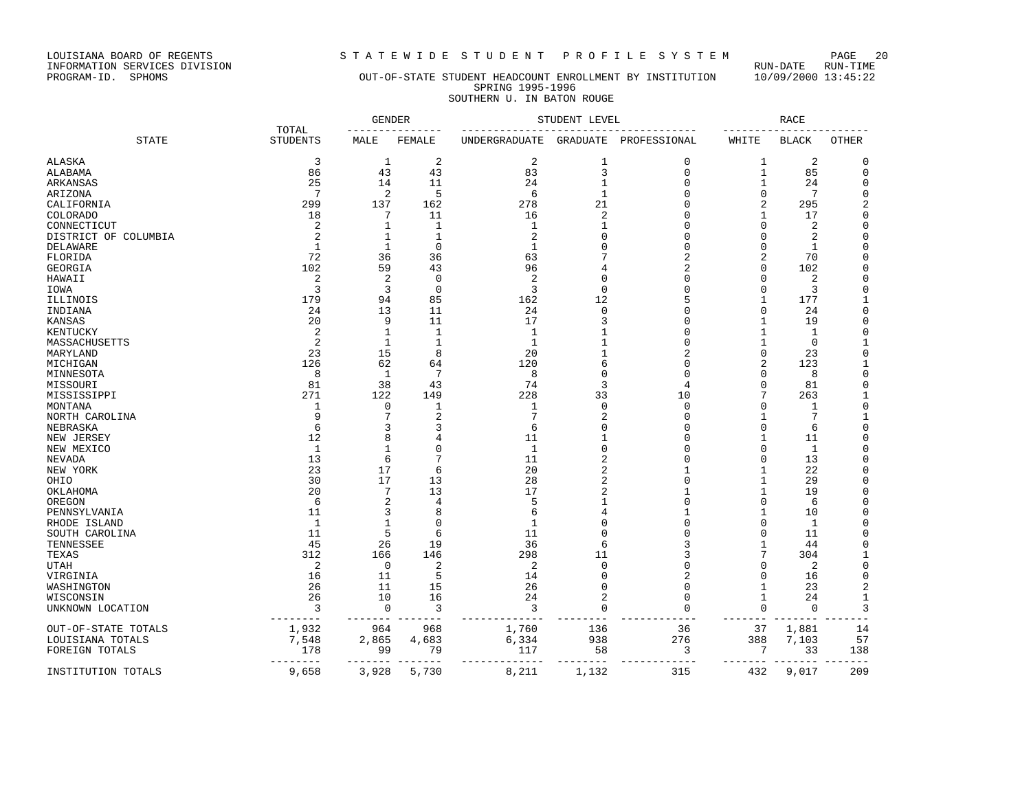LOUISIANA BOARD OF REGENTS STRITEWIDE STUDENT PROFILE SYSTEM PAGE 20<br>INFORMATION SERVICES DIVISION LOUISIANA BOARD OF REGENTS<br>INFORMATION SERVICES DIVISION<br>PROGRAM-ID. SPHOMS

# OUT-OF-STATE STUDENT HEADCOUNT ENROLLMENT BY INSTITUTION 10/09/2000 13:45:22 SPRING 1995-1996 SOUTHERN U. IN BATON ROUGE

|                      |                          | <b>GENDER</b>  |                | STUDENT LEVEL        |                |                | <b>RACE</b>     |              |                |
|----------------------|--------------------------|----------------|----------------|----------------------|----------------|----------------|-----------------|--------------|----------------|
| <b>STATE</b>         | TOTAL<br><b>STUDENTS</b> | MALE           | FEMALE         | <b>UNDERGRADUATE</b> | GRADUATE       | PROFESSIONAL   | WHITE           | <b>BLACK</b> | <b>OTHER</b>   |
| <b>ALASKA</b>        | 3                        | 1              | 2              | 2                    | 1              | 0              | 1               | 2            | $\Omega$       |
| ALABAMA              | 86                       | 43             | 43             | 83                   | 3              | $\mathbf{0}$   | $\mathbf{1}$    | 85           | $\mathbf 0$    |
| ARKANSAS             | 25                       | 14             | 11             | 24                   | $\mathbf{1}$   | $\Omega$       | 1               | 24           | 0              |
| ARIZONA              | 7                        | $\overline{2}$ | 5              | 6                    | $\mathbf{1}$   | $\Omega$       | $\mathbf 0$     | 7            | $\Omega$       |
| CALIFORNIA           | 299                      | 137            | 162            | 278                  | 21             | $\Omega$       | 2               | 295          | 2              |
| <b>COLORADO</b>      | 18                       | 7              | 11             | 16                   | $\overline{2}$ | $\Omega$       | 1               | 17           | $\Omega$       |
| CONNECTICUT          | 2                        | 1              | 1              | 1                    |                | $\Omega$       | $\Omega$        | 2            | $\Omega$       |
| DISTRICT OF COLUMBIA | $\overline{2}$           | $\mathbf{1}$   | $\mathbf{1}$   | $\overline{2}$       |                | $\Omega$       | $\Omega$        | 2            | $\Omega$       |
| DELAWARE             | $\mathbf{1}$             | 1              | $\cap$         | $\mathbf{1}$         |                | $\Omega$       | $\Omega$        | $\mathbf{1}$ | $\Omega$       |
| FLORIDA              | 72                       | 36             | 36             | 63                   |                | 2              | 2               | 70           | $\mathbf 0$    |
| GEORGIA              | 102                      | 59             | 43             | 96                   |                | 2              | 0               | 102          | $\Omega$       |
| HAWAII               | $\overline{2}$           | $\overline{2}$ | $\mathbf 0$    | $\overline{2}$       | $\Omega$       | $\Omega$       | $\Omega$        | 2            | $\Omega$       |
| IOWA                 | 3                        | 3              | $\mathbf 0$    | 3                    | $\Omega$       | $\Omega$       | 0               | 3            | 0              |
| ILLINOIS             | 179                      | 94             | 85             | 162                  | 12             | 5              | 1               | 177          |                |
| INDIANA              | 24                       | 13             | 11             | 24                   | $\Omega$       | $\Omega$       | $\Omega$        | 24           | $\Omega$       |
| KANSAS               | 20                       | 9              | 11             | 17                   | 3              | O              | 1               | 19           | $\Omega$       |
| KENTUCKY             | $\overline{2}$           | 1              | $\mathbf{1}$   | $\mathbf{1}$         | 1              | $\Omega$       | 1               | 1            | $\Omega$       |
| MASSACHUSETTS        | $\overline{2}$           | 1              | 1              | $\mathbf{1}$         |                | $\Omega$       | 1               | 0            | $\mathbf{1}$   |
| MARYLAND             | 23                       | 15             | 8              | 20                   |                | $\overline{2}$ | 0               | 23           | $\Omega$       |
| MICHIGAN             | 126                      | 62             | 64             | 120                  | 6              | $\Omega$       | 2               | 123          | $\mathbf{1}$   |
| MINNESOTA            | 8                        | 1              | 7              | 8                    | ∩              | O              | 0               | 8            | $\Omega$       |
| MISSOURI             | 81                       | 38             | 43             | 74                   | 3              | 4              | $\Omega$        | 81           | $\mathbf 0$    |
| MISSISSIPPI          | 271                      | 122            | 149            | 228                  | 33             | 10             | 7               | 263          | 1              |
| MONTANA              | 1                        | $\mathbf 0$    | $\mathbf{1}$   | 1                    | $\Omega$       | $\mathbf{0}$   | $\Omega$        | 1            | $\mathbf 0$    |
| NORTH CAROLINA       | 9                        | 7              | $\overline{2}$ | $7\phantom{.0}$      | $\overline{c}$ | $\mathbf{0}$   | 1               | 7            | $\mathbf{1}$   |
| NEBRASKA             | 6                        | 3              | 3              | 6                    |                | $\Omega$       | $\Omega$        | 6            | $\Omega$       |
| NEW JERSEY           | 12                       | 8              | 4              | 11                   |                | $\Omega$       | 1               | 11           | 0              |
| NEW MEXICO           | $\mathbf{1}$             | 1              | $\Omega$       | $\mathbf{1}$         | $\Omega$       | $\Omega$       | $\Omega$        | 1            | $\Omega$       |
| NEVADA               | 13                       | 6              | 7              | 11                   |                | $\Omega$       | 0               | 13           | $\Omega$       |
| NEW YORK             | 23                       | 17             | 6              | 20                   | $\overline{c}$ | 1              | 1               | 22           | $\Omega$       |
| OHIO                 | 30                       | 17             | 13             | 28                   | 2              | $\Omega$       | 1               | 29           | $\Omega$       |
| OKLAHOMA             | 20                       | 7              | 13             | 17                   | 2              | 1              | 1               | 19           | $\Omega$       |
| OREGON               | 6                        | 2              | 4              | 5                    |                | $\Omega$       | $\Omega$        | 6            | $\Omega$       |
| PENNSYLVANIA         | 11                       | 3              | 8              | 6                    |                | 1              | 1               | 10           | $\Omega$       |
| RHODE ISLAND         | $\mathbf{1}$             | $\mathbf{1}$   | $\Omega$       | $\mathbf{1}$         |                | $\Omega$       | 0               | $\mathbf{1}$ | $\Omega$       |
| SOUTH CAROLINA       | 11                       | 5              | 6              | 11                   |                | $\Omega$       | $\Omega$        | 11           | $\Omega$       |
| TENNESSEE            | 45                       | 26             | 19             | 36                   | 6              | 3              | 1               | 44           | 0              |
| TEXAS                | 312                      | 166            | 146            | 298                  | 11             | 3              | 7               | 304          |                |
| UTAH                 | $\overline{2}$           | $\Omega$       | $\overline{2}$ | 2                    | $\Omega$       | $\Omega$       | $\Omega$        | 2            | $\Omega$       |
| VIRGINIA             | 16                       | 11             | 5              | 14                   | $\Omega$       | 2              | 0               | 16           | $\mathbf 0$    |
| WASHINGTON           | 26                       | 11             | 15             | 26                   | $\Omega$       | $\mathbf{0}$   | 1               | 23           | $\overline{2}$ |
| WISCONSIN            | 26                       | 10             | 16             | 24                   | $\overline{2}$ | $\mathbf{0}$   | 1               | 24           | $\mathbf{1}$   |
| UNKNOWN LOCATION     | 3                        | 0              | 3              | 3                    | $\Omega$       | $\Omega$       | $\mathbf 0$     | $\mathbf 0$  | 3              |
| OUT-OF-STATE TOTALS  | 1,932                    | 964            | 968            | 1,760                | 136            | 36             | 37              | 1,881        | 14             |
| LOUISIANA TOTALS     | 7,548                    | 2,865          | 4,683          | 6,334                | 938            | 276            | 388             | 7,103        | 57             |
| FOREIGN TOTALS       | 178                      | 99             | 79             | 117                  | 58             | 3              | $7\phantom{.0}$ | 33           | 138            |
| INSTITUTION TOTALS   | 9,658                    | 3,928          | 5,730          | 8,211                | 1,132          | 315            | 432             | 9,017        | 209            |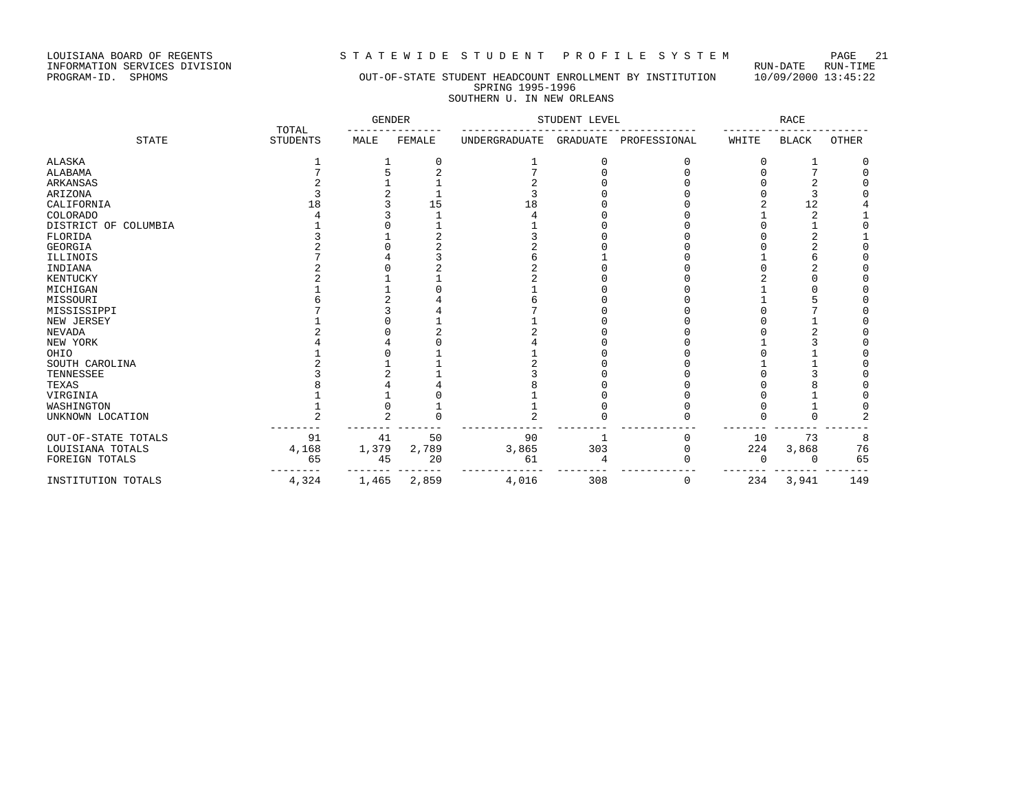LOUISIANA BOARD OF REGENTS STRITEWIDE STUDENT PROFILE SYSTEM PAGE 21<br>INFORMATION SERVICES DIVISION LOUISIANA BOARD OF REGENTS<br>INFORMATION SERVICES DIVISION<br>PROGRAM-ID. SPHOMS

# OUT-OF-STATE STUDENT HEADCOUNT ENROLLMENT BY INSTITUTION 10/09/2000 13:45:22 SPRING 1995-1996 SOUTHERN U. IN NEW ORLEANS

|                         | TOTAL           | <b>GENDER</b> |          | STUDENT LEVEL        |          |              | $\texttt{RACE}$ |              |       |
|-------------------------|-----------------|---------------|----------|----------------------|----------|--------------|-----------------|--------------|-------|
| <b>STATE</b>            | <b>STUDENTS</b> | MALE          | FEMALE   | <b>UNDERGRADUATE</b> | GRADUATE | PROFESSIONAL | WHITE           | <b>BLACK</b> | OTHER |
| <b>ALASKA</b>           |                 |               | $\Omega$ |                      | $\Omega$ | O            |                 |              | O     |
| ALABAMA                 |                 |               |          |                      |          |              |                 |              |       |
| ARKANSAS                |                 |               |          |                      |          |              |                 |              |       |
| ARIZONA                 |                 |               |          |                      |          |              |                 |              |       |
| CALIFORNIA              | 18              |               | 15       | 18                   |          |              |                 | 12           |       |
| COLORADO                |                 |               |          |                      |          |              |                 | 2            |       |
| DISTRICT OF<br>COLUMBIA |                 |               |          |                      |          |              |                 |              |       |
| FLORIDA                 |                 |               |          |                      |          |              |                 |              |       |
| <b>GEORGIA</b>          |                 |               |          |                      |          |              |                 |              |       |
| ILLINOIS                |                 |               |          |                      |          |              |                 |              |       |
| INDIANA                 |                 |               |          |                      |          |              |                 |              |       |
| KENTUCKY                |                 |               |          |                      |          |              |                 |              |       |
| MICHIGAN                |                 |               |          |                      |          |              |                 |              |       |
| MISSOURI                |                 |               |          |                      |          |              |                 |              |       |
| MISSISSIPPI             |                 |               |          |                      |          |              |                 |              |       |
| NEW JERSEY              |                 |               |          |                      |          |              |                 |              |       |
| <b>NEVADA</b>           |                 |               |          |                      |          |              |                 |              |       |
| NEW YORK                |                 |               |          |                      |          |              |                 |              |       |
| OHIO                    |                 |               |          |                      |          |              |                 |              |       |
| SOUTH CAROLINA          |                 |               |          |                      |          |              |                 |              |       |
| TENNESSEE               |                 |               |          |                      |          |              |                 |              |       |
| TEXAS                   |                 |               |          |                      |          |              |                 |              |       |
| VIRGINIA                |                 |               |          |                      |          |              |                 |              |       |
| WASHINGTON              |                 |               |          |                      |          |              |                 |              |       |
| UNKNOWN LOCATION        | 2               | $\mathcal{L}$ |          | 2                    |          |              |                 | $\Omega$     |       |
| OUT-OF-STATE TOTALS     | 91              | 41            | 50       | 90                   |          |              | 10              | 73           | 8     |
| LOUISIANA TOTALS        | 4,168           | 1,379         | 2,789    | 3,865                | 303      | Ω            | 224             | 3,868        | 76    |
| FOREIGN TOTALS          | 65              | 45            | 20       | 61                   |          |              | $\cap$          | U            | 65    |
| INSTITUTION TOTALS      | $4\,, 324$      | 1,465         | 2,859    | 4,016                | 308      | 0            | 234             | 3,941        | 149   |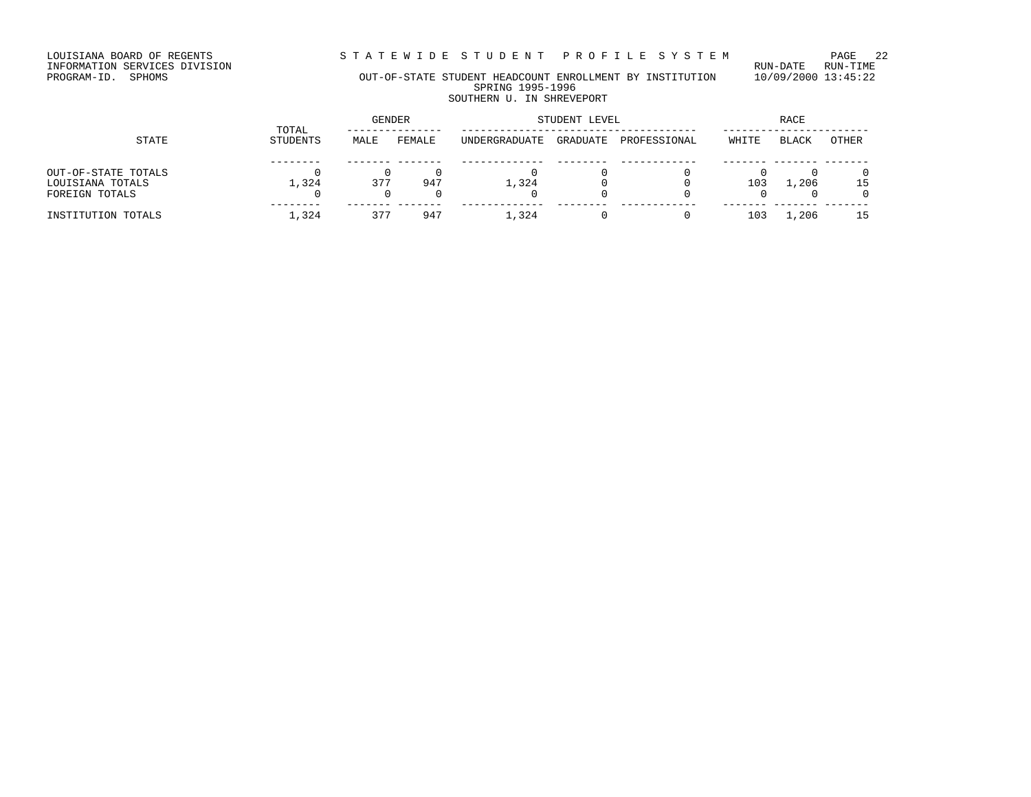LOUISIANA BOARD OF REGENTS STRITEWIDE STUDENT PROFILE SYSTEM PAGE 22<br>INFORMATION SERVICES DIVISION

LOUISIANA BOARD OF REGENTS<br>INFORMATION SERVICES DIVISION<br>PROGRAM-ID. SPHOMS

# OUT-OF-STATE STUDENT HEADCOUNT ENROLLMENT BY INSTITUTION 10/09/2000 13:45:22 SPRING 1995-1996 SOUTHERN U. IN SHREVEPORT

|                                                           |                   | <b>GENDER</b> |        | STUDENT LEVEL | RACE     |              |       |         |       |
|-----------------------------------------------------------|-------------------|---------------|--------|---------------|----------|--------------|-------|---------|-------|
| STATE                                                     | TOTAL<br>STUDENTS | MALE          | FEMALE | UNDERGRADUATE | GRADUATE | PROFESSIONAL | WHITE | BLACK   | OTHER |
| OUT-OF-STATE TOTALS<br>LOUISIANA TOTALS<br>FOREIGN TOTALS | 1,324             | 377           | 947    | 1,324         |          |              | 103   | 1,206   | 15    |
| INSTITUTION TOTALS                                        | 1,324             | 377           | 947    | 1,324         |          |              | 103   | . . 206 | 15    |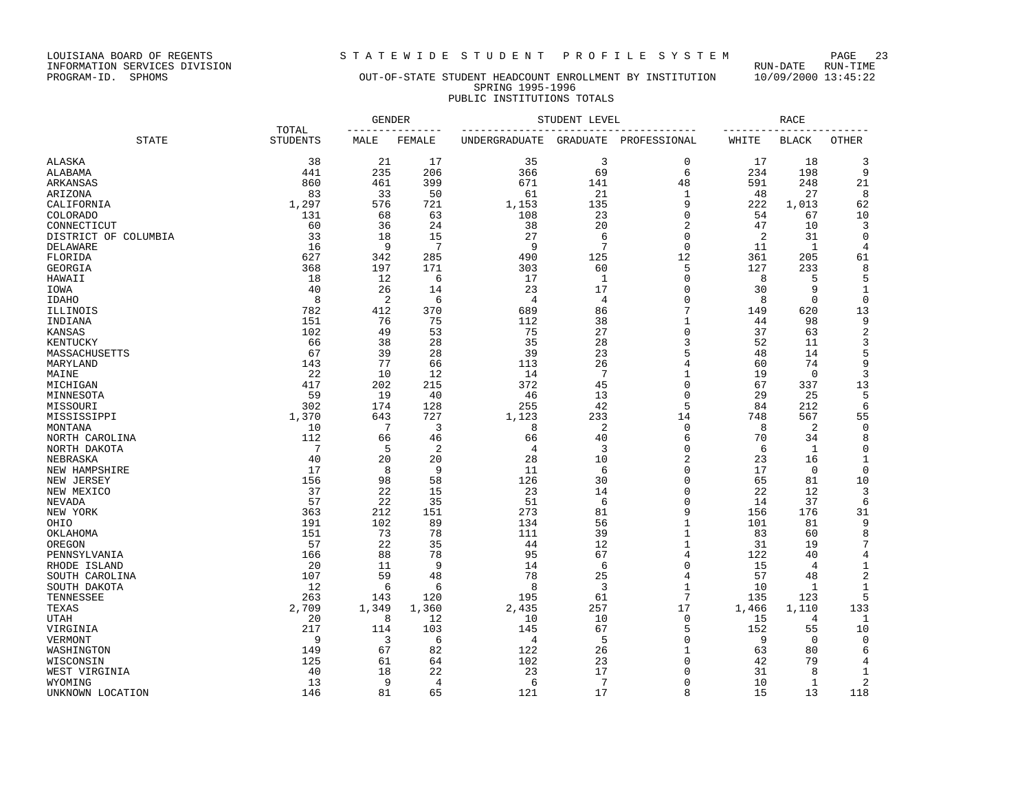LOUISIANA BOARD OF REGENTS<br>INFORMATION SERVICES DIVISION<br>PROGRAM-ID. SPHOMS

STATEWIDE STUDENT PROFILE SYSTEM PAGE 23<br>RUN-DATE RUN-TIME

# OUT-OF-STATE STUDENT HEADCOUNT ENROLLMENT BY INSTITUTION 10/09/2000 13:45:22 SPRING 1995-1996 PUBLIC INSTITUTIONS TOTALS

|                      |                          | GENDER    | STUDENT LEVEL |               |                | RACE             |           |              |              |
|----------------------|--------------------------|-----------|---------------|---------------|----------------|------------------|-----------|--------------|--------------|
| <b>STATE</b>         | TOTAL<br><b>STUDENTS</b> | MALE      | FEMALE        | UNDERGRADUATE | GRADUATE       | PROFESSIONAL     | WHITE     | <b>BLACK</b> | OTHER        |
| ALASKA               | 38                       | 21        | 17            | 35            | 3              | 0                | 17        | 18           | 3            |
| ALABAMA              | 441                      | 235       | 206           | 366           | 69             | 6                | 234       | 198          | 9            |
| ARKANSAS             | 860                      | 461       | 399           | 671           | 141            | 48               | 591       | 248          | 21           |
| ARIZONA              | 83                       | 33        | 50            | 61            | 21             | 1                | 48        | 27           | 8            |
| CALIFORNIA           | 1,297                    | 576       | 721           | 1,153         | 135            | 9                | 222       | 1,013        | 62           |
| COLORADO             | 131                      | 68        | 63            | 108           | 23             | $\mathbf 0$      | 54        | 67           | 10           |
| CONNECTICUT          | 60                       | 36        | 24            | 38            | 20             | $\overline{c}$   | 47        | 10           | 3            |
| DISTRICT OF COLUMBIA | 33                       | 18        | 15            | 27            | 6              | $\mathbf 0$      | 2         | 31           | 0            |
| DELAWARE             | 16                       | 9         | 7             | 9             | 7              | $\mathbf 0$      | 11        | 1            | 4            |
| FLORIDA              | 627                      | 342       | 285           | 490           | 125            | 12               | 361       | 205          | 61           |
| GEORGIA              | 368                      | 197       | 171           | 303           | 60             | 5                | 127       | 233          | 8            |
| HAWAII               | 18                       | 12        | 6             | 17            | 1              | $\mathbf{0}$     | 8         | 5            | 5            |
| IOWA                 | 40                       | 26        | 14            | 23            | 17             | 0                | 30        | 9            | 1            |
| IDAHO                | 8                        | 2         | 6             | 4             | $\overline{4}$ | $\mathbf 0$      | 8         | $\mathbf 0$  | $\mathbf 0$  |
| ILLINOIS             | 782                      | 412       | 370           | 689           | 86             | 7                | 149       | 620          | 13           |
| INDIANA              | 151                      | 76        | 75            | 112           | 38             | $\mathbf 1$      | 44        | 98           | 9            |
| KANSAS               | 102                      | 49        | 53            | 75            | 27             | $\mathbf 0$      | 37        | 63           | $\sqrt{2}$   |
| KENTUCKY             | 66                       | 38        | 28            | 35            | 28             | 3                | 52        | 11           | 3            |
| MASSACHUSETTS        | 67                       | 39        | 28            | 39            | 23             | 5                | 48        | 14           | 5            |
| MARYLAND             | 143                      | 77        | 66            | 113           | 26             | 4                | 60        | 74           | 9            |
| MAINE                | 22                       | 10        | 12            | 14            | 7              | 1                | 19        | 0            | 3            |
| MICHIGAN             | 417                      | 202       | 215           | 372           | 45             | $\mathbf 0$      | 67        | 337          | 13           |
| MINNESOTA            | 59                       | 19        | 40            | 46            | 13             | $\mathbf 0$      | 29        | 25           | 5            |
| MISSOURI             | 302                      | 174       | 128           | 255           | 42             | 5                | 84        | 212          | 6            |
| MISSISSIPPI          | 1,370                    | 643       | 727           | 1,123         | 233            | 14               | 748       | 567          | 55           |
| MONTANA              | 10                       | 7         | 3             | 8             | $\overline{c}$ | $\mathbf 0$      | 8         | 2            | $\mathbf 0$  |
| NORTH CAROLINA       | 112                      | 66        | 46            | 66            | 40             | 6                | 70        | 34           | 8            |
| NORTH DAKOTA         | 7                        | 5         | 2             | 4             | 3              | $\mathbf 0$      | 6         | 1            | $\mathsf 0$  |
| NEBRASKA             | 40                       | 20        | 20            | 28            | 10             | $\overline{c}$   | 23        | 16           | 1            |
| NEW HAMPSHIRE        | 17                       | 8         | 9             | 11            | 6              | $\mathbf 0$      | 17        | $\mathbf 0$  | $\mathbf 0$  |
| NEW JERSEY           | 156                      | 98        | 58            | 126           | 30             | 0                | 65        | 81           | 10           |
| NEW MEXICO           | 37                       | 22        | 15            | 23            | 14             | $\mathbf 0$      | 22        | 12           | 3            |
| NEVADA               | 57<br>363                | 22<br>212 | 35<br>151     | 51<br>273     | 6<br>81        | $\mathbf 0$<br>9 | 14<br>156 | 37<br>176    | 6<br>31      |
| NEW YORK<br>OHIO     | 191                      | 102       | 89            | 134           | 56             | $1\,$            | 101       | 81           | 9            |
| OKLAHOMA             | 151                      | 73        | 78            | 111           | 39             | 1                | 83        | 60           | 8            |
| OREGON               | 57                       | 22        | 35            | 44            | 12             | $1\,$            | 31        | 19           | 7            |
| PENNSYLVANIA         | 166                      | 88        | 78            | 95            | 67             | 4                | 122       | 40           | 4            |
| RHODE ISLAND         | 20                       | 11        | 9             | 14            | 6              | $\mathbf 0$      | 15        | 4            | $\mathbf{1}$ |
| SOUTH CAROLINA       | 107                      | 59        | 48            | 78            | 25             | 4                | 57        | 48           | $\sqrt{2}$   |
| SOUTH DAKOTA         | 12                       | 6         | 6             | 8             | 3              | $\mathbf 1$      | 10        | 1            | 1            |
| TENNESSEE            | 263                      | 143       | 120           | 195           | 61             | 7                | 135       | 123          | 5            |
| TEXAS                | 2,709                    | 1,349     | 1,360         | 2,435         | 257            | 17               | 1,466     | 1,110        | 133          |
| UTAH                 | 20                       | 8         | 12            | 10            | 10             | 0                | 15        | 4            | 1            |
| VIRGINIA             | 217                      | 114       | 103           | 145           | 67             | 5                | 152       | 55           | 10           |
| VERMONT              | 9                        | 3         | 6             | 4             | 5              | 0                | 9         | 0            | 0            |
| WASHINGTON           | 149                      | 67        | 82            | 122           | 26             | 1                | 63        | 80           | 6            |
| WISCONSIN            | 125                      | 61        | 64            | 102           | 23             | $\mathbf 0$      | 42        | 79           | 4            |
| WEST VIRGINIA        | 40                       | 18        | 22            | 23            | 17             | 0                | 31        | 8            | 1            |
| WYOMING              | 13                       | 9         | 4             | 6             | 7              | 0                | 10        | 1            | 2            |
| UNKNOWN LOCATION     | 146                      | 81        | 65            | 121           | 17             | 8                | 15        | 13           | 118          |